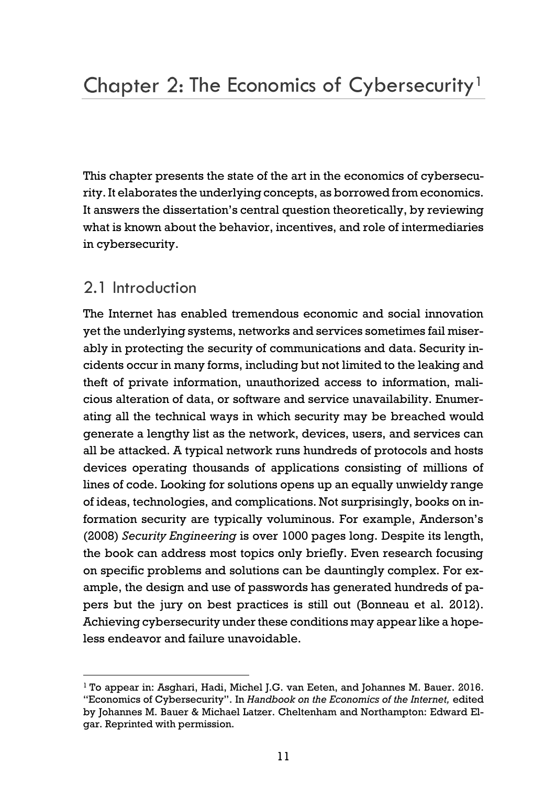This chapter presents the state of the art in the economics of cybersecurity. It elaborates the underlying concepts, as borrowed from economics. It answers the dissertation's central question theoretically, by reviewing what is known about the behavior, incentives, and role of intermediaries in cybersecurity.

## 2.1 Introduction

 $\overline{a}$ 

The Internet has enabled tremendous economic and social innovation yet the underlying systems, networks and services sometimes fail miserably in protecting the security of communications and data. Security incidents occur in many forms, including but not limited to the leaking and theft of private information, unauthorized access to information, malicious alteration of data, or software and service unavailability. Enumerating all the technical ways in which security may be breached would generate a lengthy list as the network, devices, users, and services can all be attacked. A typical network runs hundreds of protocols and hosts devices operating thousands of applications consisting of millions of lines of code. Looking for solutions opens up an equally unwieldy range of ideas, technologies, and complications. Not surprisingly, books on information security are typically voluminous. For example, Anderson's (2008) *Security Engineering* is over 1000 pages long. Despite its length, the book can address most topics only briefly. Even research focusing on specific problems and solutions can be dauntingly complex. For example, the design and use of passwords has generated hundreds of papers but the jury on best practices is still out (Bonneau et al. 2012). Achieving cybersecurity under these conditions may appear like a hopeless endeavor and failure unavoidable.

<sup>&</sup>lt;sup>1</sup> To appear in: Asghari, Hadi, Michel J.G. van Eeten, and Johannes M. Bauer. 2016. "Economics of Cybersecurity". In *Handbook on the Economics of the Internet,* edited by Johannes M. Bauer & Michael Latzer. Cheltenham and Northampton: Edward Elgar. Reprinted with permission.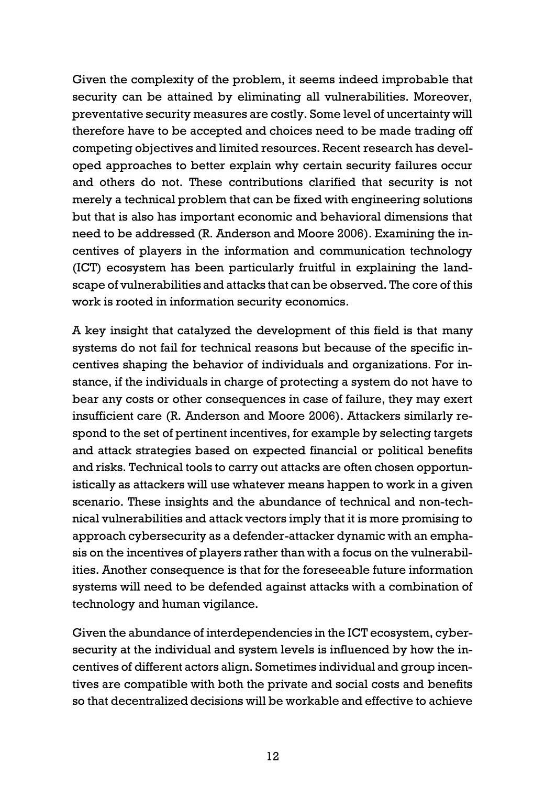Given the complexity of the problem, it seems indeed improbable that security can be attained by eliminating all vulnerabilities. Moreover, preventative security measures are costly. Some level of uncertainty will therefore have to be accepted and choices need to be made trading off competing objectives and limited resources. Recent research has developed approaches to better explain why certain security failures occur and others do not. These contributions clarified that security is not merely a technical problem that can be fixed with engineering solutions but that is also has important economic and behavioral dimensions that need to be addressed (R. Anderson and Moore 2006). Examining the incentives of players in the information and communication technology (ICT) ecosystem has been particularly fruitful in explaining the landscape of vulnerabilities and attacks that can be observed. The core of this work is rooted in information security economics.

A key insight that catalyzed the development of this field is that many systems do not fail for technical reasons but because of the specific incentives shaping the behavior of individuals and organizations. For instance, if the individuals in charge of protecting a system do not have to bear any costs or other consequences in case of failure, they may exert insufficient care (R. Anderson and Moore 2006). Attackers similarly respond to the set of pertinent incentives, for example by selecting targets and attack strategies based on expected financial or political benefits and risks. Technical tools to carry out attacks are often chosen opportunistically as attackers will use whatever means happen to work in a given scenario. These insights and the abundance of technical and non-technical vulnerabilities and attack vectors imply that it is more promising to approach cybersecurity as a defender-attacker dynamic with an emphasis on the incentives of players rather than with a focus on the vulnerabilities. Another consequence is that for the foreseeable future information systems will need to be defended against attacks with a combination of technology and human vigilance.

Given the abundance of interdependencies in the ICT ecosystem, cybersecurity at the individual and system levels is influenced by how the incentives of different actors align. Sometimes individual and group incentives are compatible with both the private and social costs and benefits so that decentralized decisions will be workable and effective to achieve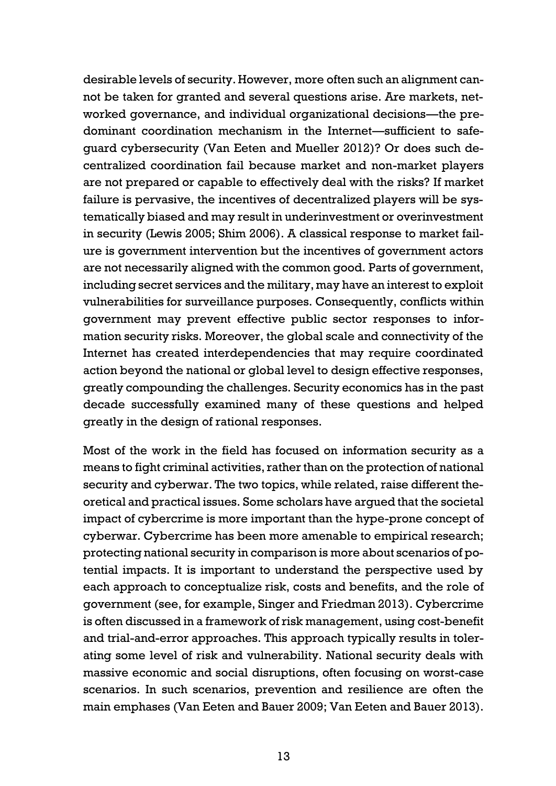desirable levels of security. However, more often such an alignment cannot be taken for granted and several questions arise. Are markets, networked governance, and individual organizational decisions—the predominant coordination mechanism in the Internet—sufficient to safeguard cybersecurity (Van Eeten and Mueller 2012)? Or does such decentralized coordination fail because market and non-market players are not prepared or capable to effectively deal with the risks? If market failure is pervasive, the incentives of decentralized players will be systematically biased and may result in underinvestment or overinvestment in security (Lewis 2005; Shim 2006). A classical response to market failure is government intervention but the incentives of government actors are not necessarily aligned with the common good. Parts of government, including secret services and the military, may have an interest to exploit vulnerabilities for surveillance purposes. Consequently, conflicts within government may prevent effective public sector responses to information security risks. Moreover, the global scale and connectivity of the Internet has created interdependencies that may require coordinated action beyond the national or global level to design effective responses, greatly compounding the challenges. Security economics has in the past decade successfully examined many of these questions and helped greatly in the design of rational responses.

Most of the work in the field has focused on information security as a means to fight criminal activities, rather than on the protection of national security and cyberwar. The two topics, while related, raise different theoretical and practical issues. Some scholars have argued that the societal impact of cybercrime is more important than the hype-prone concept of cyberwar. Cybercrime has been more amenable to empirical research; protecting national security in comparison is more about scenarios of potential impacts. It is important to understand the perspective used by each approach to conceptualize risk, costs and benefits, and the role of government (see, for example, Singer and Friedman 2013). Cybercrime is often discussed in a framework of risk management, using cost-benefit and trial-and-error approaches. This approach typically results in tolerating some level of risk and vulnerability. National security deals with massive economic and social disruptions, often focusing on worst-case scenarios. In such scenarios, prevention and resilience are often the main emphases (Van Eeten and Bauer 2009; Van Eeten and Bauer 2013).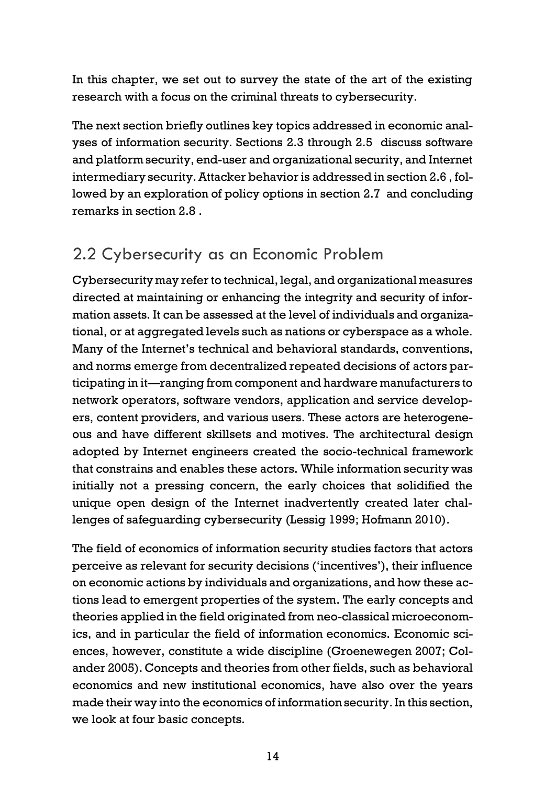In this chapter, we set out to survey the state of the art of the existing research with a focus on the criminal threats to cybersecurity.

The next section briefly outlines key topics addressed in economic analyses of information security. Sections [2.3 t](#page-7-0)hrough [2.5](#page-14-0) discuss software and platform security, end-user and organizational security, and Internet intermediary security. Attacker behavior is addressed in section [2.6 ,](#page-22-0) followed by an exploration of policy options in section [2.7](#page-24-0) and concluding remarks in section [2.8 .](#page-29-0)

### 2.2 Cybersecurity as an Economic Problem

Cybersecurity may refer to technical, legal, and organizational measures directed at maintaining or enhancing the integrity and security of information assets. It can be assessed at the level of individuals and organizational, or at aggregated levels such as nations or cyberspace as a whole. Many of the Internet's technical and behavioral standards, conventions, and norms emerge from decentralized repeated decisions of actors participating in it—ranging from component and hardware manufacturers to network operators, software vendors, application and service developers, content providers, and various users. These actors are heterogeneous and have different skillsets and motives. The architectural design adopted by Internet engineers created the socio-technical framework that constrains and enables these actors. While information security was initially not a pressing concern, the early choices that solidified the unique open design of the Internet inadvertently created later challenges of safeguarding cybersecurity (Lessig 1999; Hofmann 2010).

The field of economics of information security studies factors that actors perceive as relevant for security decisions ('incentives'), their influence on economic actions by individuals and organizations, and how these actions lead to emergent properties of the system. The early concepts and theories applied in the field originated from neo-classical microeconomics, and in particular the field of information economics. Economic sciences, however, constitute a wide discipline (Groenewegen 2007; Colander 2005). Concepts and theories from other fields, such as behavioral economics and new institutional economics, have also over the years made their way into the economics of information security. In this section, we look at four basic concepts.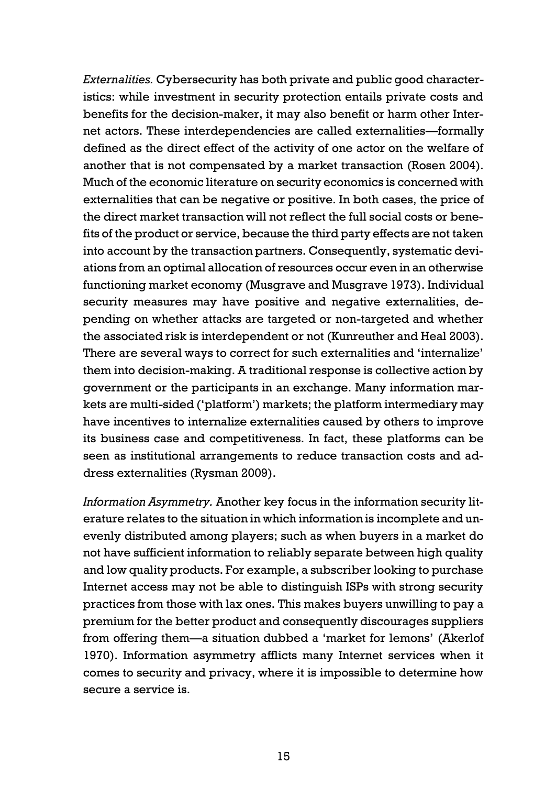*Externalities.* Cybersecurity has both private and public good characteristics: while investment in security protection entails private costs and benefits for the decision-maker, it may also benefit or harm other Internet actors. These interdependencies are called externalities—formally defined as the direct effect of the activity of one actor on the welfare of another that is not compensated by a market transaction (Rosen 2004). Much of the economic literature on security economics is concerned with externalities that can be negative or positive. In both cases, the price of the direct market transaction will not reflect the full social costs or benefits of the product or service, because the third party effects are not taken into account by the transaction partners. Consequently, systematic deviations from an optimal allocation of resources occur even in an otherwise functioning market economy (Musgrave and Musgrave 1973). Individual security measures may have positive and negative externalities, depending on whether attacks are targeted or non-targeted and whether the associated risk is interdependent or not (Kunreuther and Heal 2003). There are several ways to correct for such externalities and 'internalize' them into decision-making. A traditional response is collective action by government or the participants in an exchange. Many information markets are multi-sided ('platform') markets; the platform intermediary may have incentives to internalize externalities caused by others to improve its business case and competitiveness. In fact, these platforms can be seen as institutional arrangements to reduce transaction costs and address externalities (Rysman 2009).

*Information Asymmetry.* Another key focus in the information security literature relates to the situation in which information is incomplete and unevenly distributed among players; such as when buyers in a market do not have sufficient information to reliably separate between high quality and low quality products. For example, a subscriber looking to purchase Internet access may not be able to distinguish ISPs with strong security practices from those with lax ones. This makes buyers unwilling to pay a premium for the better product and consequently discourages suppliers from offering them—a situation dubbed a 'market for lemons' (Akerlof 1970). Information asymmetry afflicts many Internet services when it comes to security and privacy, where it is impossible to determine how secure a service is.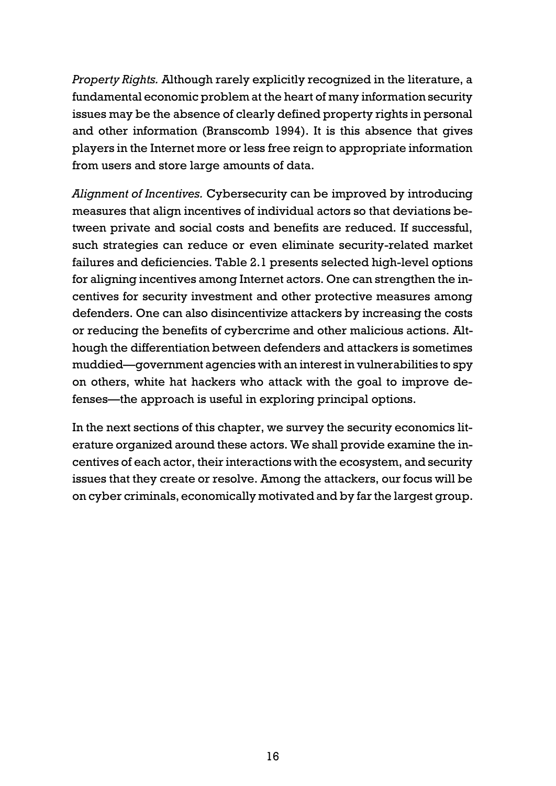*Property Rights.* Although rarely explicitly recognized in the literature, a fundamental economic problem at the heart of many information security issues may be the absence of clearly defined property rights in personal and other information (Branscomb 1994). It is this absence that gives players in the Internet more or less free reign to appropriate information from users and store large amounts of data.

*Alignment of Incentives.* Cybersecurity can be improved by introducing measures that align incentives of individual actors so that deviations between private and social costs and benefits are reduced. If successful, such strategies can reduce or even eliminate security-related market failures and deficiencies. [Table 2.1](#page-6-0) presents selected high-level options for aligning incentives among Internet actors. One can strengthen the incentives for security investment and other protective measures among defenders. One can also disincentivize attackers by increasing the costs or reducing the benefits of cybercrime and other malicious actions. Although the differentiation between defenders and attackers is sometimes muddied—government agencies with an interest in vulnerabilities to spy on others, white hat hackers who attack with the goal to improve defenses—the approach is useful in exploring principal options.

In the next sections of this chapter, we survey the security economics literature organized around these actors. We shall provide examine the incentives of each actor, their interactions with the ecosystem, and security issues that they create or resolve. Among the attackers, our focus will be on cyber criminals, economically motivated and by far the largest group.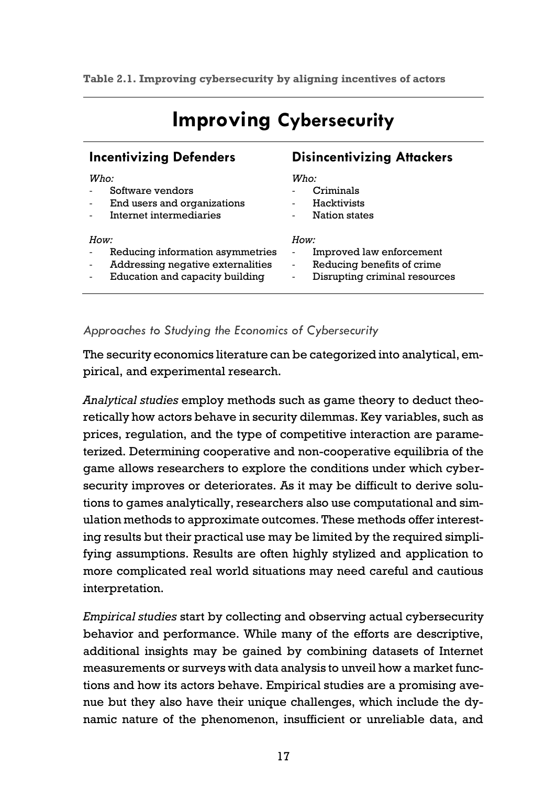<span id="page-6-0"></span>**Table 2.1. Improving cybersecurity by aligning incentives of actors**

| <b>Improving Cypersecurity</b>                                                                                   |                                                                                                                |
|------------------------------------------------------------------------------------------------------------------|----------------------------------------------------------------------------------------------------------------|
| <b>Incentivizing Defenders</b>                                                                                   | <b>Disincentivizing Attackers</b>                                                                              |
| Who:<br>Software vendors<br>End users and organizations<br>Internet intermediaries                               | Who:<br>Criminals<br>Hacktivists<br>Nation states                                                              |
| How:<br>Reducing information asymmetries<br>Addressing negative externalities<br>Education and capacity building | How:<br>Improved law enforcement<br>-<br>Reducing benefits of crime<br>-<br>Disrupting criminal resources<br>- |

# $\mathbf{I}_{\text{reco}}$  *Cybersecurity Cybersecurity Cybersecurity* **<b>***Cybersecurity Cybersecurity Cybersecurity*

*Approaches to Studying the Economics of Cybersecurity*

The security economics literature can be categorized into analytical, empirical, and experimental research.

*Analytical studies* employ methods such as game theory to deduct theoretically how actors behave in security dilemmas. Key variables, such as prices, regulation, and the type of competitive interaction are parameterized. Determining cooperative and non-cooperative equilibria of the game allows researchers to explore the conditions under which cybersecurity improves or deteriorates. As it may be difficult to derive solutions to games analytically, researchers also use computational and simulation methods to approximate outcomes. These methods offer interesting results but their practical use may be limited by the required simplifying assumptions. Results are often highly stylized and application to more complicated real world situations may need careful and cautious interpretation.

*Empirical studies* start by collecting and observing actual cybersecurity behavior and performance. While many of the efforts are descriptive, additional insights may be gained by combining datasets of Internet measurements or surveys with data analysis to unveil how a market functions and how its actors behave. Empirical studies are a promising avenue but they also have their unique challenges, which include the dynamic nature of the phenomenon, insufficient or unreliable data, and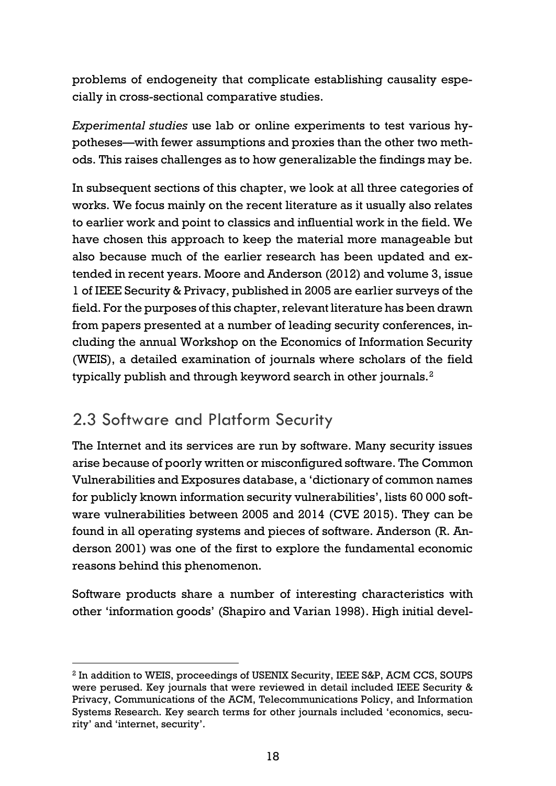problems of endogeneity that complicate establishing causality especially in cross-sectional comparative studies.

*Experimental studies* use lab or online experiments to test various hypotheses—with fewer assumptions and proxies than the other two methods. This raises challenges as to how generalizable the findings may be.

In subsequent sections of this chapter, we look at all three categories of works. We focus mainly on the recent literature as it usually also relates to earlier work and point to classics and influential work in the field. We have chosen this approach to keep the material more manageable but also because much of the earlier research has been updated and extended in recent years. Moore and Anderson (2012) and volume 3, issue 1 of IEEE Security & Privacy, published in 2005 are earlier surveys of the field. For the purposes of this chapter, relevant literature has been drawn from papers presented at a number of leading security conferences, including the annual Workshop on the Economics of Information Security (WEIS), a detailed examination of journals where scholars of the field typically publish and through keyword search in other journals.<sup>2</sup>

### <span id="page-7-0"></span>2.3 Software and Platform Security

The Internet and its services are run by software. Many security issues arise because of poorly written or misconfigured software. The Common Vulnerabilities and Exposures database, a 'dictionary of common names for publicly known information security vulnerabilities', lists 60 000 software vulnerabilities between 2005 and 2014 (CVE 2015). They can be found in all operating systems and pieces of software. Anderson (R. Anderson 2001) was one of the first to explore the fundamental economic reasons behind this phenomenon.

Software products share a number of interesting characteristics with other 'information goods' (Shapiro and Varian 1998). High initial devel-

 $\overline{a}$ 2 In addition to WEIS, proceedings of USENIX Security, IEEE S&P, ACM CCS, SOUPS were perused. Key journals that were reviewed in detail included IEEE Security & Privacy, Communications of the ACM, Telecommunications Policy, and Information Systems Research. Key search terms for other journals included 'economics, security' and 'internet, security'.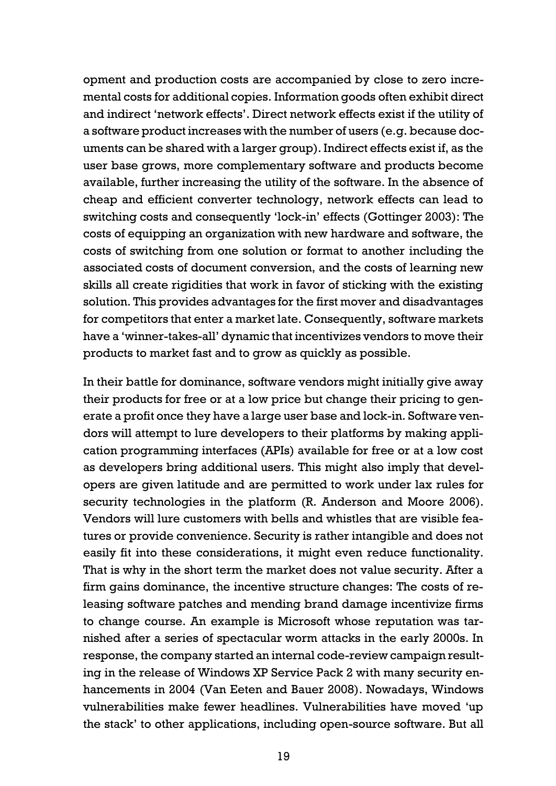opment and production costs are accompanied by close to zero incremental costs for additional copies. Information goods often exhibit direct and indirect 'network effects'. Direct network effects exist if the utility of a software product increases with the number of users (e.g. because documents can be shared with a larger group). Indirect effects exist if, as the user base grows, more complementary software and products become available, further increasing the utility of the software. In the absence of cheap and efficient converter technology, network effects can lead to switching costs and consequently 'lock-in' effects (Gottinger 2003): The costs of equipping an organization with new hardware and software, the costs of switching from one solution or format to another including the associated costs of document conversion, and the costs of learning new skills all create rigidities that work in favor of sticking with the existing solution. This provides advantages for the first mover and disadvantages for competitors that enter a market late. Consequently, software markets have a 'winner-takes-all' dynamic that incentivizes vendors to move their products to market fast and to grow as quickly as possible.

In their battle for dominance, software vendors might initially give away their products for free or at a low price but change their pricing to generate a profit once they have a large user base and lock-in. Software vendors will attempt to lure developers to their platforms by making application programming interfaces (APIs) available for free or at a low cost as developers bring additional users. This might also imply that developers are given latitude and are permitted to work under lax rules for security technologies in the platform (R. Anderson and Moore 2006). Vendors will lure customers with bells and whistles that are visible features or provide convenience. Security is rather intangible and does not easily fit into these considerations, it might even reduce functionality. That is why in the short term the market does not value security. After a firm gains dominance, the incentive structure changes: The costs of releasing software patches and mending brand damage incentivize firms to change course. An example is Microsoft whose reputation was tarnished after a series of spectacular worm attacks in the early 2000s. In response, the company started an internal code-review campaign resulting in the release of Windows XP Service Pack 2 with many security enhancements in 2004 (Van Eeten and Bauer 2008). Nowadays, Windows vulnerabilities make fewer headlines. Vulnerabilities have moved 'up the stack' to other applications, including open-source software. But all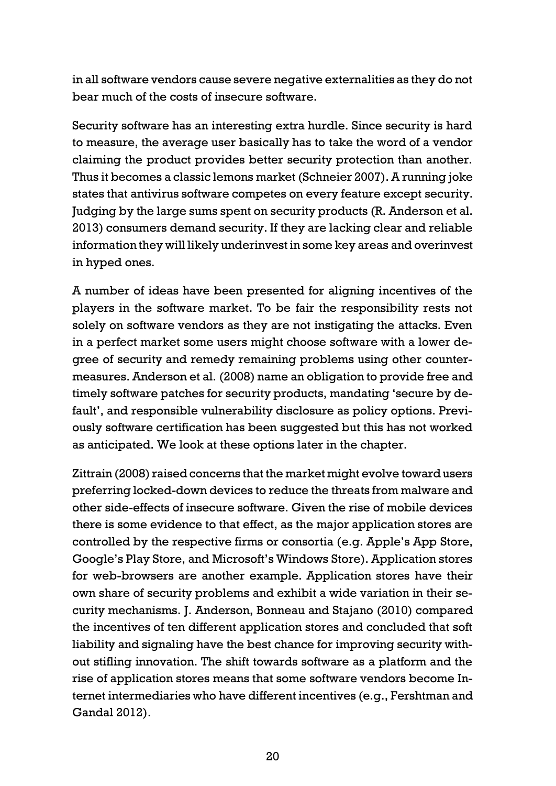in all software vendors cause severe negative externalities as they do not bear much of the costs of insecure software.

Security software has an interesting extra hurdle. Since security is hard to measure, the average user basically has to take the word of a vendor claiming the product provides better security protection than another. Thus it becomes a classic lemons market (Schneier 2007). A running joke states that antivirus software competes on every feature except security. Judging by the large sums spent on security products (R. Anderson et al. 2013) consumers demand security. If they are lacking clear and reliable information they will likely underinvest in some key areas and overinvest in hyped ones.

A number of ideas have been presented for aligning incentives of the players in the software market. To be fair the responsibility rests not solely on software vendors as they are not instigating the attacks. Even in a perfect market some users might choose software with a lower degree of security and remedy remaining problems using other countermeasures. Anderson et al. (2008) name an obligation to provide free and timely software patches for security products, mandating 'secure by default', and responsible vulnerability disclosure as policy options. Previously software certification has been suggested but this has not worked as anticipated. We look at these options later in the chapter.

Zittrain (2008) raised concerns that the market might evolve toward users preferring locked-down devices to reduce the threats from malware and other side-effects of insecure software. Given the rise of mobile devices there is some evidence to that effect, as the major application stores are controlled by the respective firms or consortia (e.g. Apple's App Store, Google's Play Store, and Microsoft's Windows Store). Application stores for web-browsers are another example. Application stores have their own share of security problems and exhibit a wide variation in their security mechanisms. J. Anderson, Bonneau and Stajano (2010) compared the incentives of ten different application stores and concluded that soft liability and signaling have the best chance for improving security without stifling innovation. The shift towards software as a platform and the rise of application stores means that some software vendors become Internet intermediaries who have different incentives (e.g., Fershtman and Gandal 2012).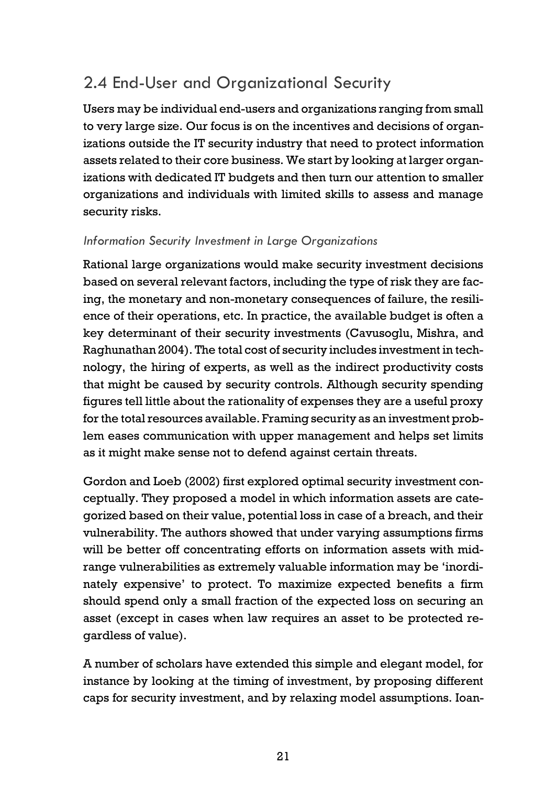# 2.4 End-User and Organizational Security

Users may be individual end-users and organizations ranging from small to very large size. Our focus is on the incentives and decisions of organizations outside the IT security industry that need to protect information assets related to their core business. We start by looking at larger organizations with dedicated IT budgets and then turn our attention to smaller organizations and individuals with limited skills to assess and manage security risks.

#### *Information Security Investment in Large Organizations*

Rational large organizations would make security investment decisions based on several relevant factors, including the type of risk they are facing, the monetary and non-monetary consequences of failure, the resilience of their operations, etc. In practice, the available budget is often a key determinant of their security investments (Cavusoglu, Mishra, and Raghunathan 2004). The total cost of security includes investment in technology, the hiring of experts, as well as the indirect productivity costs that might be caused by security controls. Although security spending figures tell little about the rationality of expenses they are a useful proxy for the total resources available. Framing security as an investment problem eases communication with upper management and helps set limits as it might make sense not to defend against certain threats.

Gordon and Loeb (2002) first explored optimal security investment conceptually. They proposed a model in which information assets are categorized based on their value, potential loss in case of a breach, and their vulnerability. The authors showed that under varying assumptions firms will be better off concentrating efforts on information assets with midrange vulnerabilities as extremely valuable information may be 'inordinately expensive' to protect. To maximize expected benefits a firm should spend only a small fraction of the expected loss on securing an asset (except in cases when law requires an asset to be protected regardless of value).

A number of scholars have extended this simple and elegant model, for instance by looking at the timing of investment, by proposing different caps for security investment, and by relaxing model assumptions. Ioan-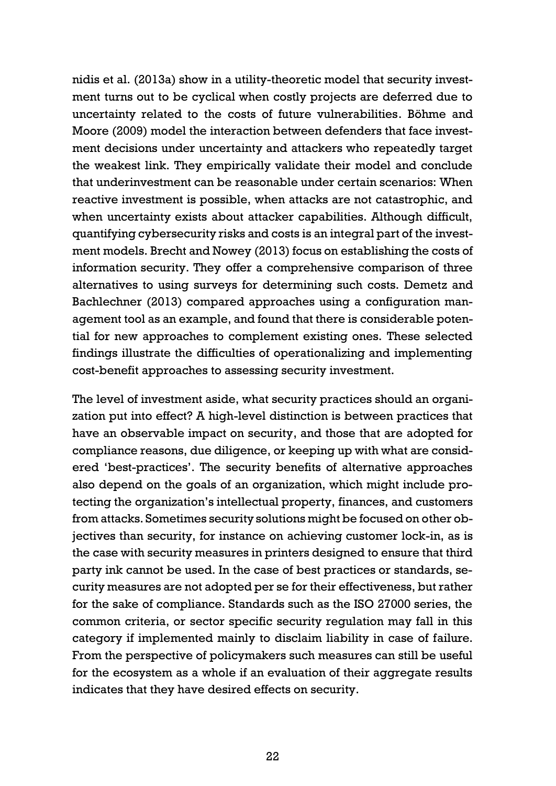nidis et al. (2013a) show in a utility-theoretic model that security investment turns out to be cyclical when costly projects are deferred due to uncertainty related to the costs of future vulnerabilities. Böhme and Moore (2009) model the interaction between defenders that face investment decisions under uncertainty and attackers who repeatedly target the weakest link. They empirically validate their model and conclude that underinvestment can be reasonable under certain scenarios: When reactive investment is possible, when attacks are not catastrophic, and when uncertainty exists about attacker capabilities. Although difficult, quantifying cybersecurity risks and costs is an integral part of the investment models. Brecht and Nowey (2013) focus on establishing the costs of information security. They offer a comprehensive comparison of three alternatives to using surveys for determining such costs. Demetz and Bachlechner (2013) compared approaches using a configuration management tool as an example, and found that there is considerable potential for new approaches to complement existing ones. These selected findings illustrate the difficulties of operationalizing and implementing cost-benefit approaches to assessing security investment.

The level of investment aside, what security practices should an organization put into effect? A high-level distinction is between practices that have an observable impact on security, and those that are adopted for compliance reasons, due diligence, or keeping up with what are considered 'best-practices'. The security benefits of alternative approaches also depend on the goals of an organization, which might include protecting the organization's intellectual property, finances, and customers from attacks. Sometimes security solutions might be focused on other objectives than security, for instance on achieving customer lock-in, as is the case with security measures in printers designed to ensure that third party ink cannot be used. In the case of best practices or standards, security measures are not adopted per se for their effectiveness, but rather for the sake of compliance. Standards such as the ISO 27000 series, the common criteria, or sector specific security regulation may fall in this category if implemented mainly to disclaim liability in case of failure. From the perspective of policymakers such measures can still be useful for the ecosystem as a whole if an evaluation of their aggregate results indicates that they have desired effects on security.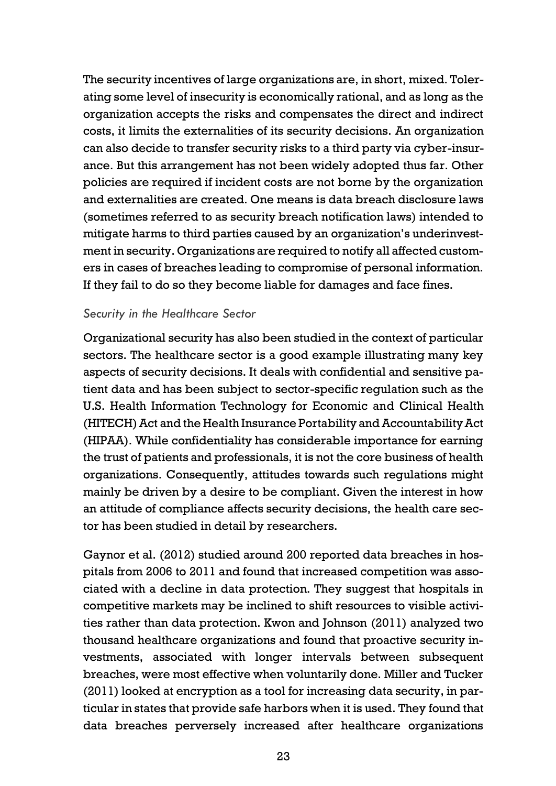The security incentives of large organizations are, in short, mixed. Tolerating some level of insecurity is economically rational, and as long as the organization accepts the risks and compensates the direct and indirect costs, it limits the externalities of its security decisions. An organization can also decide to transfer security risks to a third party via cyber-insurance. But this arrangement has not been widely adopted thus far. Other policies are required if incident costs are not borne by the organization and externalities are created. One means is data breach disclosure laws (sometimes referred to as security breach notification laws) intended to mitigate harms to third parties caused by an organization's underinvestment in security. Organizations are required to notify all affected customers in cases of breaches leading to compromise of personal information. If they fail to do so they become liable for damages and face fines.

#### *Security in the Healthcare Sector*

Organizational security has also been studied in the context of particular sectors. The healthcare sector is a good example illustrating many key aspects of security decisions. It deals with confidential and sensitive patient data and has been subject to sector-specific regulation such as the U.S. Health Information Technology for Economic and Clinical Health (HITECH) Act and the Health Insurance Portability and Accountability Act (HIPAA). While confidentiality has considerable importance for earning the trust of patients and professionals, it is not the core business of health organizations. Consequently, attitudes towards such regulations might mainly be driven by a desire to be compliant. Given the interest in how an attitude of compliance affects security decisions, the health care sector has been studied in detail by researchers.

Gaynor et al. (2012) studied around 200 reported data breaches in hospitals from 2006 to 2011 and found that increased competition was associated with a decline in data protection. They suggest that hospitals in competitive markets may be inclined to shift resources to visible activities rather than data protection. Kwon and Johnson (2011) analyzed two thousand healthcare organizations and found that proactive security investments, associated with longer intervals between subsequent breaches, were most effective when voluntarily done. Miller and Tucker (2011) looked at encryption as a tool for increasing data security, in particular in states that provide safe harbors when it is used. They found that data breaches perversely increased after healthcare organizations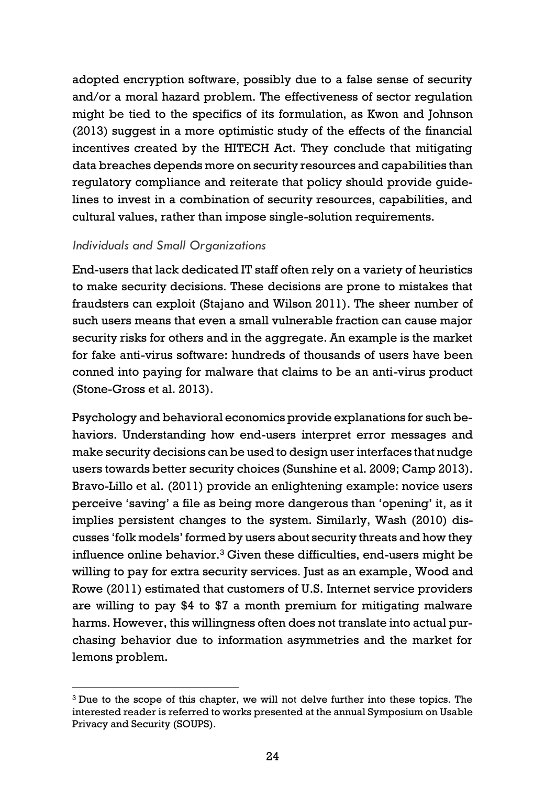adopted encryption software, possibly due to a false sense of security and/or a moral hazard problem. The effectiveness of sector regulation might be tied to the specifics of its formulation, as Kwon and Johnson (2013) suggest in a more optimistic study of the effects of the financial incentives created by the HITECH Act. They conclude that mitigating data breaches depends more on security resources and capabilities than regulatory compliance and reiterate that policy should provide guidelines to invest in a combination of security resources, capabilities, and cultural values, rather than impose single-solution requirements.

#### *Individuals and Small Organizations*

l

End-users that lack dedicated IT staff often rely on a variety of heuristics to make security decisions. These decisions are prone to mistakes that fraudsters can exploit (Stajano and Wilson 2011). The sheer number of such users means that even a small vulnerable fraction can cause major security risks for others and in the aggregate. An example is the market for fake anti-virus software: hundreds of thousands of users have been conned into paying for malware that claims to be an anti-virus product (Stone-Gross et al. 2013).

Psychology and behavioral economics provide explanations for such behaviors. Understanding how end-users interpret error messages and make security decisions can be used to design user interfaces that nudge users towards better security choices (Sunshine et al. 2009; Camp 2013). Bravo-Lillo et al. (2011) provide an enlightening example: novice users perceive 'saving' a file as being more dangerous than 'opening' it, as it implies persistent changes to the system. Similarly, Wash (2010) discusses 'folk models' formed by users about security threats and how they influence online behavior.<sup>3</sup> Given these difficulties, end-users might be willing to pay for extra security services. Just as an example, Wood and Rowe (2011) estimated that customers of U.S. Internet service providers are willing to pay \$4 to \$7 a month premium for mitigating malware harms. However, this willingness often does not translate into actual purchasing behavior due to information asymmetries and the market for lemons problem.

<sup>&</sup>lt;sup>3</sup> Due to the scope of this chapter, we will not delve further into these topics. The interested reader is referred to works presented at the annual Symposium on Usable Privacy and Security (SOUPS).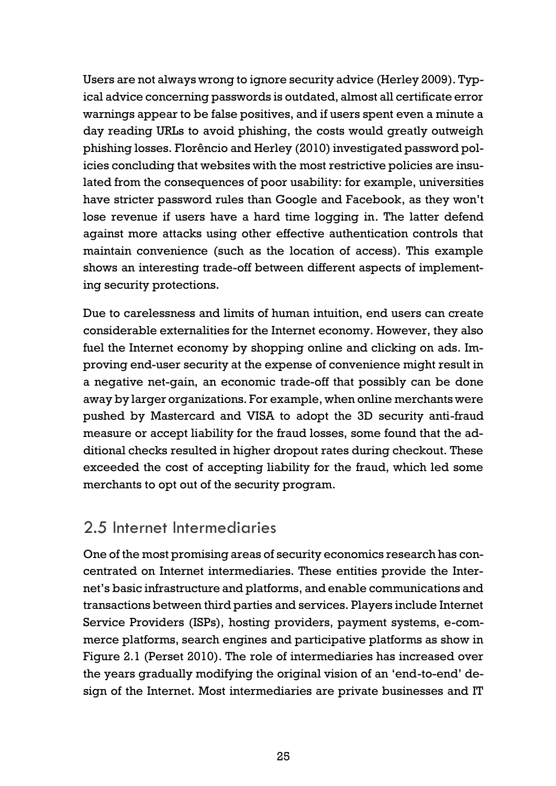Users are not always wrong to ignore security advice (Herley 2009). Typical advice concerning passwords is outdated, almost all certificate error warnings appear to be false positives, and if users spent even a minute a day reading URLs to avoid phishing, the costs would greatly outweigh phishing losses. Florêncio and Herley (2010) investigated password policies concluding that websites with the most restrictive policies are insulated from the consequences of poor usability: for example, universities have stricter password rules than Google and Facebook, as they won't lose revenue if users have a hard time logging in. The latter defend against more attacks using other effective authentication controls that maintain convenience (such as the location of access). This example shows an interesting trade-off between different aspects of implementing security protections.

Due to carelessness and limits of human intuition, end users can create considerable externalities for the Internet economy. However, they also fuel the Internet economy by shopping online and clicking on ads. Improving end-user security at the expense of convenience might result in a negative net-gain, an economic trade-off that possibly can be done away by larger organizations. For example, when online merchants were pushed by Mastercard and VISA to adopt the 3D security anti-fraud measure or accept liability for the fraud losses, some found that the additional checks resulted in higher dropout rates during checkout. These exceeded the cost of accepting liability for the fraud, which led some merchants to opt out of the security program.

### <span id="page-14-0"></span>2.5 Internet Intermediaries

One of the most promising areas of security economics research has concentrated on Internet intermediaries. These entities provide the Internet's basic infrastructure and platforms, and enable communications and transactions between third parties and services. Players include Internet Service Providers (ISPs), hosting providers, payment systems, e-commerce platforms, search engines and participative platforms as show in [Figure 2.1](#page-16-0) (Perset 2010). The role of intermediaries has increased over the years gradually modifying the original vision of an 'end-to-end' design of the Internet. Most intermediaries are private businesses and IT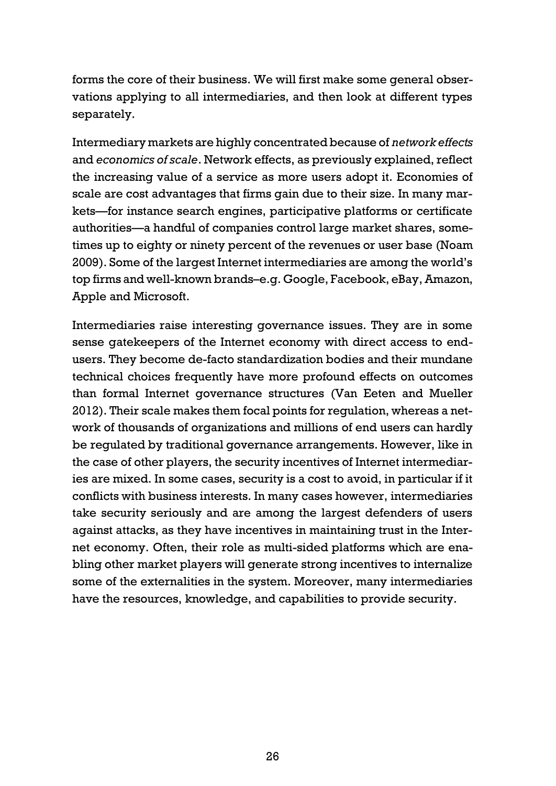forms the core of their business. We will first make some general observations applying to all intermediaries, and then look at different types separately.

Intermediary markets are highly concentrated because of *network effects* and *economics of scale*. Network effects, as previously explained, reflect the increasing value of a service as more users adopt it. Economies of scale are cost advantages that firms gain due to their size. In many markets—for instance search engines, participative platforms or certificate authorities—a handful of companies control large market shares, sometimes up to eighty or ninety percent of the revenues or user base (Noam 2009). Some of the largest Internet intermediaries are among the world's top firms and well-known brands–e.g. Google, Facebook, eBay, Amazon, Apple and Microsoft.

Intermediaries raise interesting governance issues. They are in some sense gatekeepers of the Internet economy with direct access to endusers. They become de-facto standardization bodies and their mundane technical choices frequently have more profound effects on outcomes than formal Internet governance structures (Van Eeten and Mueller 2012). Their scale makes them focal points for regulation, whereas a network of thousands of organizations and millions of end users can hardly be regulated by traditional governance arrangements. However, like in the case of other players, the security incentives of Internet intermediaries are mixed. In some cases, security is a cost to avoid, in particular if it conflicts with business interests. In many cases however, intermediaries take security seriously and are among the largest defenders of users against attacks, as they have incentives in maintaining trust in the Internet economy. Often, their role as multi-sided platforms which are enabling other market players will generate strong incentives to internalize some of the externalities in the system. Moreover, many intermediaries have the resources, knowledge, and capabilities to provide security.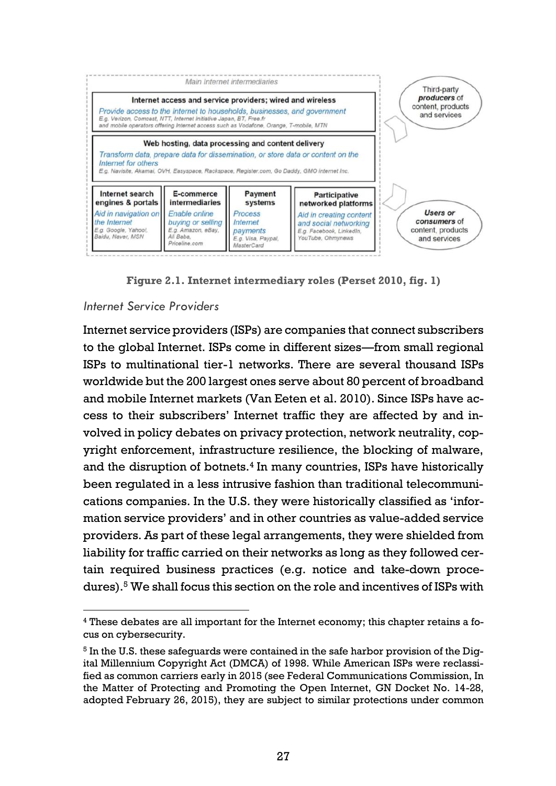

**Figure 2.1. Internet intermediary roles (Perset 2010, fig. 1)**

#### <span id="page-16-0"></span>*Internet Service Providers*

 $\overline{a}$ 

Internet service providers (ISPs) are companies that connect subscribers to the global Internet. ISPs come in different sizes—from small regional ISPs to multinational tier-1 networks. There are several thousand ISPs worldwide but the 200 largest ones serve about 80 percent of broadband and mobile Internet markets (Van Eeten et al. 2010). Since ISPs have access to their subscribers' Internet traffic they are affected by and involved in policy debates on privacy protection, network neutrality, copyright enforcement, infrastructure resilience, the blocking of malware, and the disruption of botnets.<sup>4</sup> In many countries, ISPs have historically been regulated in a less intrusive fashion than traditional telecommunications companies. In the U.S. they were historically classified as 'information service providers' and in other countries as value-added service providers. As part of these legal arrangements, they were shielded from liability for traffic carried on their networks as long as they followed certain required business practices (e.g. notice and take-down procedures).<sup>5</sup> We shall focus this section on the role and incentives of ISPs with

<sup>4</sup> These debates are all important for the Internet economy; this chapter retains a focus on cybersecurity.

 $^{\rm 5}$  In the U.S. these safeguards were contained in the safe harbor provision of the Digital Millennium Copyright Act (DMCA) of 1998. While American ISPs were reclassified as common carriers early in 2015 (see Federal Communications Commission, In the Matter of Protecting and Promoting the Open Internet, GN Docket No. 14-28, adopted February 26, 2015), they are subject to similar protections under common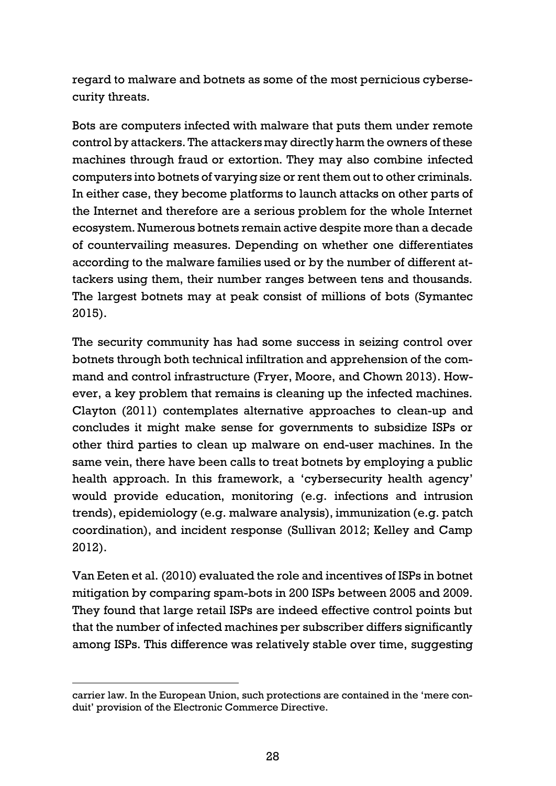regard to malware and botnets as some of the most pernicious cybersecurity threats.

Bots are computers infected with malware that puts them under remote control by attackers. The attackers may directly harm the owners of these machines through fraud or extortion. They may also combine infected computers into botnets of varying size or rent them out to other criminals. In either case, they become platforms to launch attacks on other parts of the Internet and therefore are a serious problem for the whole Internet ecosystem. Numerous botnets remain active despite more than a decade of countervailing measures. Depending on whether one differentiates according to the malware families used or by the number of different attackers using them, their number ranges between tens and thousands. The largest botnets may at peak consist of millions of bots (Symantec 2015).

The security community has had some success in seizing control over botnets through both technical infiltration and apprehension of the command and control infrastructure (Fryer, Moore, and Chown 2013). However, a key problem that remains is cleaning up the infected machines. Clayton (2011) contemplates alternative approaches to clean-up and concludes it might make sense for governments to subsidize ISPs or other third parties to clean up malware on end-user machines. In the same vein, there have been calls to treat botnets by employing a public health approach. In this framework, a 'cybersecurity health agency' would provide education, monitoring (e.g. infections and intrusion trends), epidemiology (e.g. malware analysis), immunization (e.g. patch coordination), and incident response (Sullivan 2012; Kelley and Camp 2012).

Van Eeten et al. (2010) evaluated the role and incentives of ISPs in botnet mitigation by comparing spam-bots in 200 ISPs between 2005 and 2009. They found that large retail ISPs are indeed effective control points but that the number of infected machines per subscriber differs significantly among ISPs. This difference was relatively stable over time, suggesting

l

carrier law. In the European Union, such protections are contained in the 'mere conduit' provision of the Electronic Commerce Directive.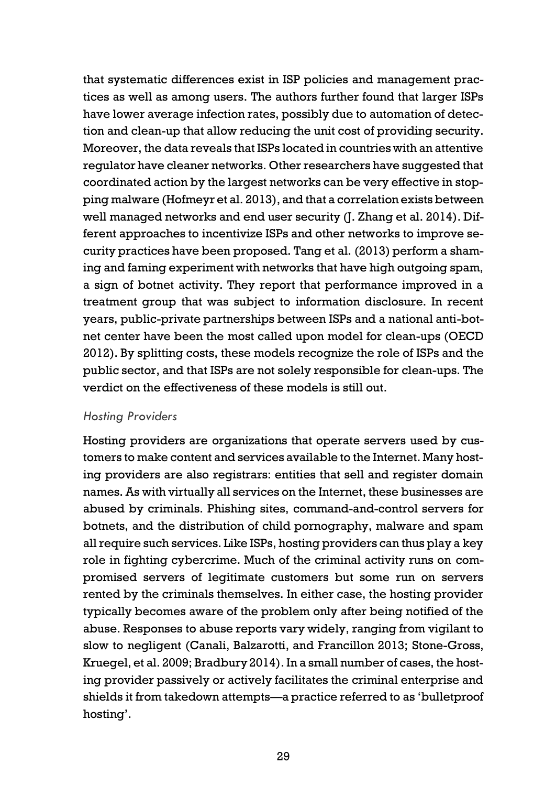that systematic differences exist in ISP policies and management practices as well as among users. The authors further found that larger ISPs have lower average infection rates, possibly due to automation of detection and clean-up that allow reducing the unit cost of providing security. Moreover, the data reveals that ISPs located in countries with an attentive regulator have cleaner networks. Other researchers have suggested that coordinated action by the largest networks can be very effective in stopping malware (Hofmeyr et al. 2013), and that a correlation exists between well managed networks and end user security (J. Zhang et al. 2014). Different approaches to incentivize ISPs and other networks to improve security practices have been proposed. Tang et al. (2013) perform a shaming and faming experiment with networks that have high outgoing spam, a sign of botnet activity. They report that performance improved in a treatment group that was subject to information disclosure. In recent years, public-private partnerships between ISPs and a national anti-botnet center have been the most called upon model for clean-ups (OECD 2012). By splitting costs, these models recognize the role of ISPs and the public sector, and that ISPs are not solely responsible for clean-ups. The verdict on the effectiveness of these models is still out.

#### *Hosting Providers*

Hosting providers are organizations that operate servers used by customers to make content and services available to the Internet. Many hosting providers are also registrars: entities that sell and register domain names. As with virtually all services on the Internet, these businesses are abused by criminals. Phishing sites, command-and-control servers for botnets, and the distribution of child pornography, malware and spam all require such services. Like ISPs, hosting providers can thus play a key role in fighting cybercrime. Much of the criminal activity runs on compromised servers of legitimate customers but some run on servers rented by the criminals themselves. In either case, the hosting provider typically becomes aware of the problem only after being notified of the abuse. Responses to abuse reports vary widely, ranging from vigilant to slow to negligent (Canali, Balzarotti, and Francillon 2013; Stone-Gross, Kruegel, et al. 2009; Bradbury 2014). In a small number of cases, the hosting provider passively or actively facilitates the criminal enterprise and shields it from takedown attempts—a practice referred to as 'bulletproof hosting'.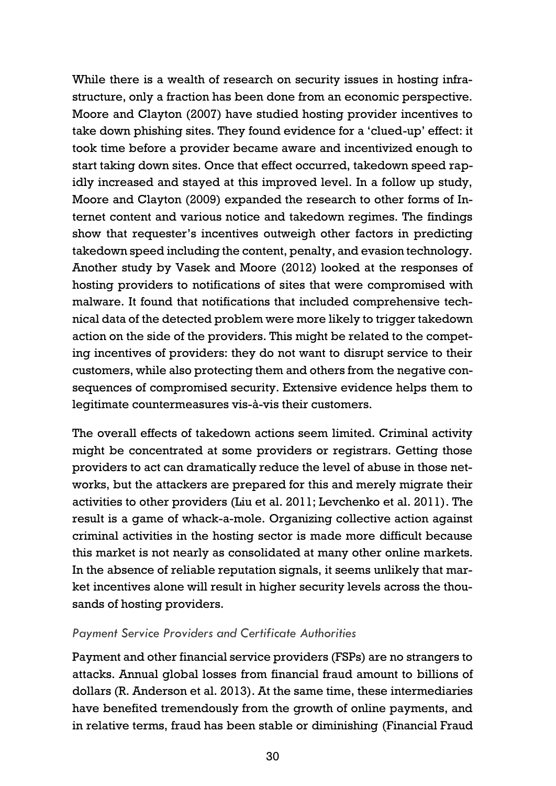While there is a wealth of research on security issues in hosting infrastructure, only a fraction has been done from an economic perspective. Moore and Clayton (2007) have studied hosting provider incentives to take down phishing sites. They found evidence for a 'clued-up' effect: it took time before a provider became aware and incentivized enough to start taking down sites. Once that effect occurred, takedown speed rapidly increased and stayed at this improved level. In a follow up study, Moore and Clayton (2009) expanded the research to other forms of Internet content and various notice and takedown regimes. The findings show that requester's incentives outweigh other factors in predicting takedown speed including the content, penalty, and evasion technology. Another study by Vasek and Moore (2012) looked at the responses of hosting providers to notifications of sites that were compromised with malware. It found that notifications that included comprehensive technical data of the detected problem were more likely to trigger takedown action on the side of the providers. This might be related to the competing incentives of providers: they do not want to disrupt service to their customers, while also protecting them and others from the negative consequences of compromised security. Extensive evidence helps them to legitimate countermeasures vis-à-vis their customers.

The overall effects of takedown actions seem limited. Criminal activity might be concentrated at some providers or registrars. Getting those providers to act can dramatically reduce the level of abuse in those networks, but the attackers are prepared for this and merely migrate their activities to other providers (Liu et al. 2011; Levchenko et al. 2011). The result is a game of whack-a-mole. Organizing collective action against criminal activities in the hosting sector is made more difficult because this market is not nearly as consolidated at many other online markets. In the absence of reliable reputation signals, it seems unlikely that market incentives alone will result in higher security levels across the thousands of hosting providers.

#### *Payment Service Providers and Certificate Authorities*

Payment and other financial service providers (FSPs) are no strangers to attacks. Annual global losses from financial fraud amount to billions of dollars (R. Anderson et al. 2013). At the same time, these intermediaries have benefited tremendously from the growth of online payments, and in relative terms, fraud has been stable or diminishing (Financial Fraud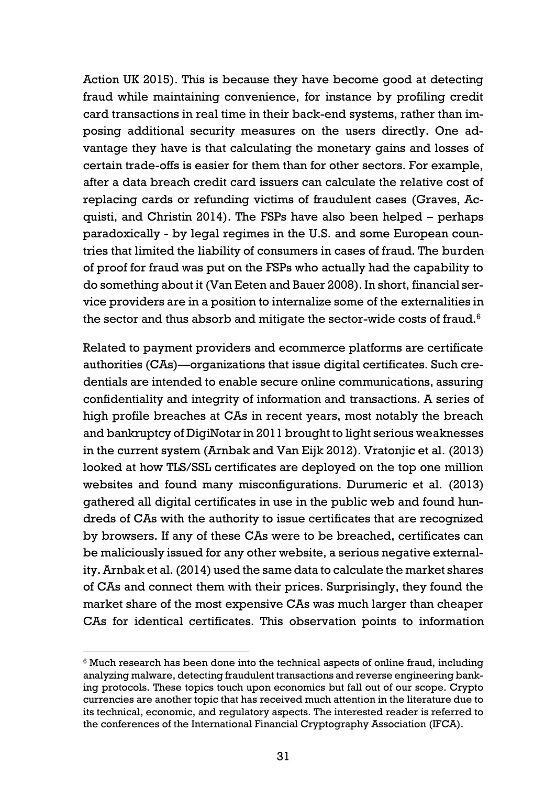Action UK 2015). This is because they have become good at detecting fraud while maintaining convenience, for instance by profiling credit card transactions in real time in their back-end systems, rather than imposing additional security measures on the users directly. One advantage they have is that calculating the monetary gains and losses of certain trade-offs is easier for them than for other sectors. For example, after a data breach credit card issuers can calculate the relative cost of replacing cards or refunding victims of fraudulent cases (Graves, Acquisti, and Christin 2014). The FSPs have also been helped – perhaps paradoxically - by legal regimes in the U.S. and some European countries that limited the liability of consumers in cases of fraud. The burden of proof for fraud was put on the FSPs who actually had the capability to do something about it (Van Eeten and Bauer 2008). In short, financial service providers are in a position to internalize some of the externalities in the sector and thus absorb and mitigate the sector-wide costs of fraud.<sup>6</sup>

Related to payment providers and ecommerce platforms are certificate authorities (CAs)—organizations that issue digital certificates. Such credentials are intended to enable secure online communications, assuring confidentiality and integrity of information and transactions. A series of high profile breaches at CAs in recent years, most notably the breach and bankruptcy of DigiNotar in 2011 brought to light serious weaknesses in the current system (Arnbak and Van Eijk 2012). Vratonjic et al. (2013) looked at how TLS/SSL certificates are deployed on the top one million websites and found many misconfigurations. Durumeric et al. (2013) gathered all digital certificates in use in the public web and found hundreds of CAs with the authority to issue certificates that are recognized by browsers. If any of these CAs were to be breached, certificates can be maliciously issued for any other website, a serious negative externality. Arnbak et al. (2014) used the same data to calculate the market shares of CAs and connect them with their prices. Surprisingly, they found the market share of the most expensive CAs was much larger than cheaper CAs for identical certificates. This observation points to information

 $\overline{a}$ 

 $6$  Much research has been done into the technical aspects of online fraud, including analyzing malware, detecting fraudulent transactions and reverse engineering banking protocols. These topics touch upon economics but fall out of our scope. Crypto currencies are another topic that has received much attention in the literature due to its technical, economic, and regulatory aspects. The interested reader is referred to the conferences of the International Financial Cryptography Association (IFCA).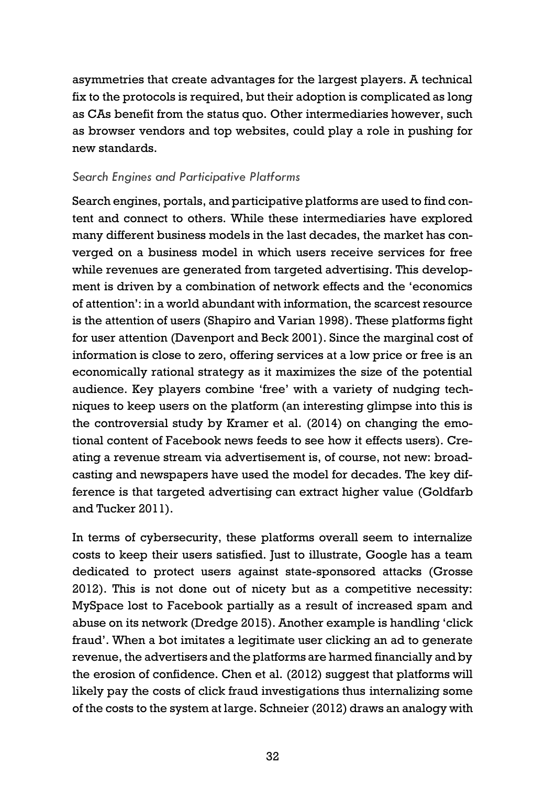asymmetries that create advantages for the largest players. A technical fix to the protocols is required, but their adoption is complicated as long as CAs benefit from the status quo. Other intermediaries however, such as browser vendors and top websites, could play a role in pushing for new standards.

#### *Search Engines and Participative Platforms*

Search engines, portals, and participative platforms are used to find content and connect to others. While these intermediaries have explored many different business models in the last decades, the market has converged on a business model in which users receive services for free while revenues are generated from targeted advertising. This development is driven by a combination of network effects and the 'economics of attention': in a world abundant with information, the scarcest resource is the attention of users (Shapiro and Varian 1998). These platforms fight for user attention (Davenport and Beck 2001). Since the marginal cost of information is close to zero, offering services at a low price or free is an economically rational strategy as it maximizes the size of the potential audience. Key players combine 'free' with a variety of nudging techniques to keep users on the platform (an interesting glimpse into this is the controversial study by Kramer et al. (2014) on changing the emotional content of Facebook news feeds to see how it effects users). Creating a revenue stream via advertisement is, of course, not new: broadcasting and newspapers have used the model for decades. The key difference is that targeted advertising can extract higher value (Goldfarb and Tucker 2011).

In terms of cybersecurity, these platforms overall seem to internalize costs to keep their users satisfied. Just to illustrate, Google has a team dedicated to protect users against state-sponsored attacks (Grosse 2012). This is not done out of nicety but as a competitive necessity: MySpace lost to Facebook partially as a result of increased spam and abuse on its network (Dredge 2015). Another example is handling 'click fraud'. When a bot imitates a legitimate user clicking an ad to generate revenue, the advertisers and the platforms are harmed financially and by the erosion of confidence. Chen et al. (2012) suggest that platforms will likely pay the costs of click fraud investigations thus internalizing some of the costs to the system at large. Schneier (2012) draws an analogy with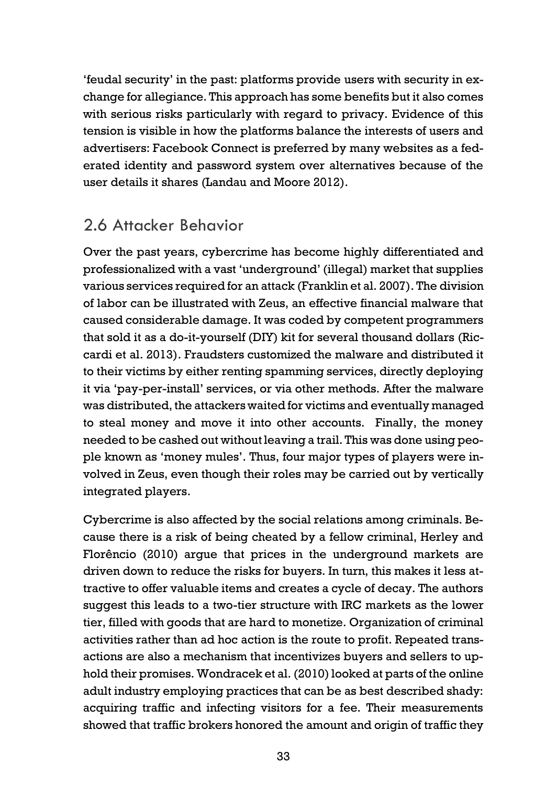'feudal security' in the past: platforms provide users with security in exchange for allegiance. This approach has some benefits but it also comes with serious risks particularly with regard to privacy. Evidence of this tension is visible in how the platforms balance the interests of users and advertisers: Facebook Connect is preferred by many websites as a federated identity and password system over alternatives because of the user details it shares (Landau and Moore 2012).

### <span id="page-22-0"></span>2.6 Attacker Behavior

Over the past years, cybercrime has become highly differentiated and professionalized with a vast 'underground' (illegal) market that supplies various services required for an attack (Franklin et al. 2007). The division of labor can be illustrated with Zeus, an effective financial malware that caused considerable damage. It was coded by competent programmers that sold it as a do-it-yourself (DIY) kit for several thousand dollars (Riccardi et al. 2013). Fraudsters customized the malware and distributed it to their victims by either renting spamming services, directly deploying it via 'pay-per-install' services, or via other methods. After the malware was distributed, the attackers waited for victims and eventually managed to steal money and move it into other accounts. Finally, the money needed to be cashed out without leaving a trail. This was done using people known as 'money mules'. Thus, four major types of players were involved in Zeus, even though their roles may be carried out by vertically integrated players.

Cybercrime is also affected by the social relations among criminals. Because there is a risk of being cheated by a fellow criminal, Herley and Florêncio (2010) argue that prices in the underground markets are driven down to reduce the risks for buyers. In turn, this makes it less attractive to offer valuable items and creates a cycle of decay. The authors suggest this leads to a two-tier structure with IRC markets as the lower tier, filled with goods that are hard to monetize. Organization of criminal activities rather than ad hoc action is the route to profit. Repeated transactions are also a mechanism that incentivizes buyers and sellers to uphold their promises. Wondracek et al. (2010) looked at parts of the online adult industry employing practices that can be as best described shady: acquiring traffic and infecting visitors for a fee. Their measurements showed that traffic brokers honored the amount and origin of traffic they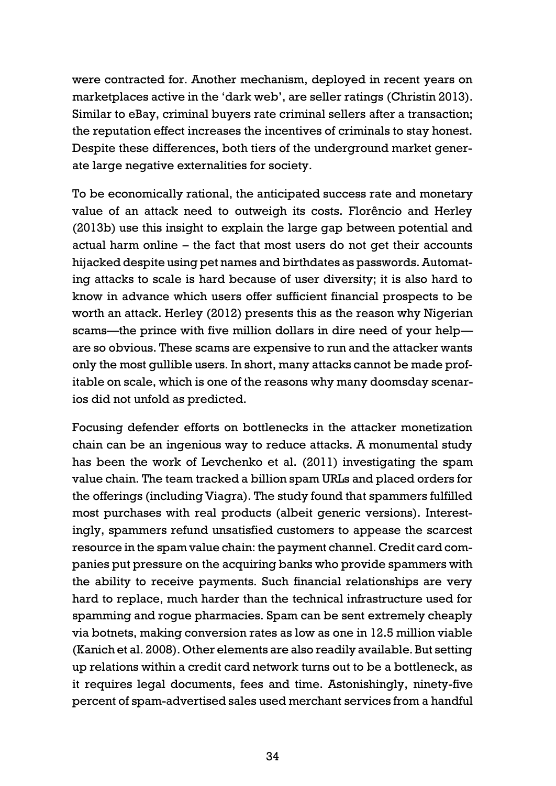were contracted for. Another mechanism, deployed in recent years on marketplaces active in the 'dark web', are seller ratings (Christin 2013). Similar to eBay, criminal buyers rate criminal sellers after a transaction; the reputation effect increases the incentives of criminals to stay honest. Despite these differences, both tiers of the underground market generate large negative externalities for society.

To be economically rational, the anticipated success rate and monetary value of an attack need to outweigh its costs. Florêncio and Herley (2013b) use this insight to explain the large gap between potential and actual harm online – the fact that most users do not get their accounts hijacked despite using pet names and birthdates as passwords. Automating attacks to scale is hard because of user diversity; it is also hard to know in advance which users offer sufficient financial prospects to be worth an attack. Herley (2012) presents this as the reason why Nigerian scams—the prince with five million dollars in dire need of your help are so obvious. These scams are expensive to run and the attacker wants only the most gullible users. In short, many attacks cannot be made profitable on scale, which is one of the reasons why many doomsday scenarios did not unfold as predicted.

Focusing defender efforts on bottlenecks in the attacker monetization chain can be an ingenious way to reduce attacks. A monumental study has been the work of Levchenko et al. (2011) investigating the spam value chain. The team tracked a billion spam URLs and placed orders for the offerings (including Viagra). The study found that spammers fulfilled most purchases with real products (albeit generic versions). Interestingly, spammers refund unsatisfied customers to appease the scarcest resource in the spam value chain: the payment channel. Credit card companies put pressure on the acquiring banks who provide spammers with the ability to receive payments. Such financial relationships are very hard to replace, much harder than the technical infrastructure used for spamming and rogue pharmacies. Spam can be sent extremely cheaply via botnets, making conversion rates as low as one in 12.5 million viable (Kanich et al. 2008). Other elements are also readily available. But setting up relations within a credit card network turns out to be a bottleneck, as it requires legal documents, fees and time. Astonishingly, ninety-five percent of spam-advertised sales used merchant services from a handful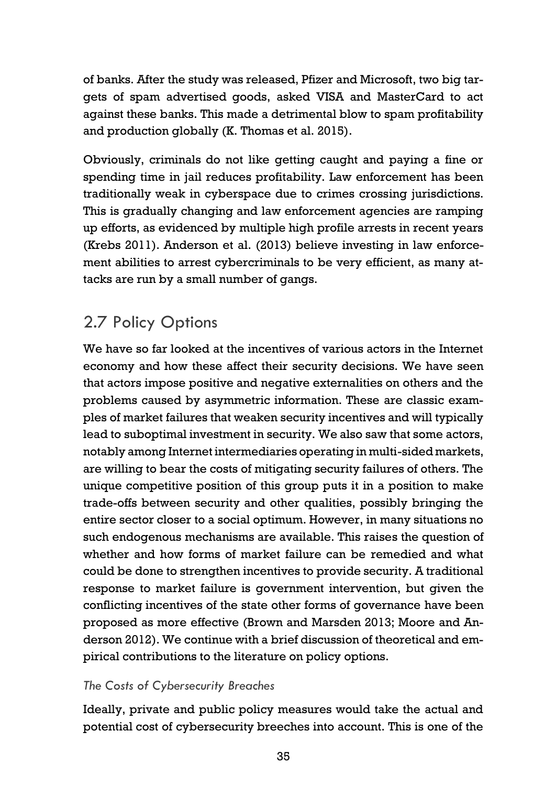of banks. After the study was released, Pfizer and Microsoft, two big targets of spam advertised goods, asked VISA and MasterCard to act against these banks. This made a detrimental blow to spam profitability and production globally (K. Thomas et al. 2015).

Obviously, criminals do not like getting caught and paying a fine or spending time in jail reduces profitability. Law enforcement has been traditionally weak in cyberspace due to crimes crossing jurisdictions. This is gradually changing and law enforcement agencies are ramping up efforts, as evidenced by multiple high profile arrests in recent years (Krebs 2011). Anderson et al. (2013) believe investing in law enforcement abilities to arrest cybercriminals to be very efficient, as many attacks are run by a small number of gangs.

# <span id="page-24-0"></span>2.7 Policy Options

We have so far looked at the incentives of various actors in the Internet economy and how these affect their security decisions. We have seen that actors impose positive and negative externalities on others and the problems caused by asymmetric information. These are classic examples of market failures that weaken security incentives and will typically lead to suboptimal investment in security. We also saw that some actors, notably among Internet intermediaries operating in multi-sided markets, are willing to bear the costs of mitigating security failures of others. The unique competitive position of this group puts it in a position to make trade-offs between security and other qualities, possibly bringing the entire sector closer to a social optimum. However, in many situations no such endogenous mechanisms are available. This raises the question of whether and how forms of market failure can be remedied and what could be done to strengthen incentives to provide security. A traditional response to market failure is government intervention, but given the conflicting incentives of the state other forms of governance have been proposed as more effective (Brown and Marsden 2013; Moore and Anderson 2012). We continue with a brief discussion of theoretical and empirical contributions to the literature on policy options.

#### *The Costs of Cybersecurity Breaches*

Ideally, private and public policy measures would take the actual and potential cost of cybersecurity breeches into account. This is one of the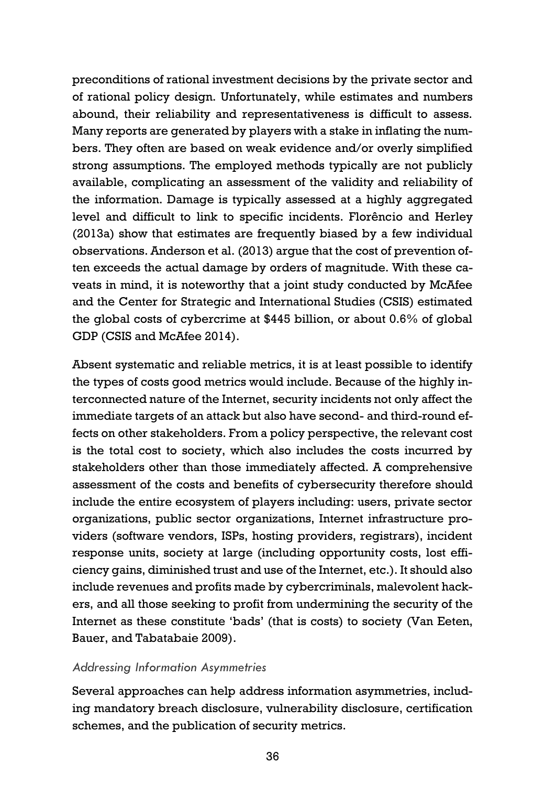preconditions of rational investment decisions by the private sector and of rational policy design. Unfortunately, while estimates and numbers abound, their reliability and representativeness is difficult to assess. Many reports are generated by players with a stake in inflating the numbers. They often are based on weak evidence and/or overly simplified strong assumptions. The employed methods typically are not publicly available, complicating an assessment of the validity and reliability of the information. Damage is typically assessed at a highly aggregated level and difficult to link to specific incidents. Florêncio and Herley (2013a) show that estimates are frequently biased by a few individual observations. Anderson et al. (2013) argue that the cost of prevention often exceeds the actual damage by orders of magnitude. With these caveats in mind, it is noteworthy that a joint study conducted by McAfee and the Center for Strategic and International Studies (CSIS) estimated the global costs of cybercrime at \$445 billion, or about 0.6% of global GDP (CSIS and McAfee 2014).

Absent systematic and reliable metrics, it is at least possible to identify the types of costs good metrics would include. Because of the highly interconnected nature of the Internet, security incidents not only affect the immediate targets of an attack but also have second- and third-round effects on other stakeholders. From a policy perspective, the relevant cost is the total cost to society, which also includes the costs incurred by stakeholders other than those immediately affected. A comprehensive assessment of the costs and benefits of cybersecurity therefore should include the entire ecosystem of players including: users, private sector organizations, public sector organizations, Internet infrastructure providers (software vendors, ISPs, hosting providers, registrars), incident response units, society at large (including opportunity costs, lost efficiency gains, diminished trust and use of the Internet, etc.). It should also include revenues and profits made by cybercriminals, malevolent hackers, and all those seeking to profit from undermining the security of the Internet as these constitute 'bads' (that is costs) to society (Van Eeten, Bauer, and Tabatabaie 2009).

#### *Addressing Information Asymmetries*

Several approaches can help address information asymmetries, including mandatory breach disclosure, vulnerability disclosure, certification schemes, and the publication of security metrics.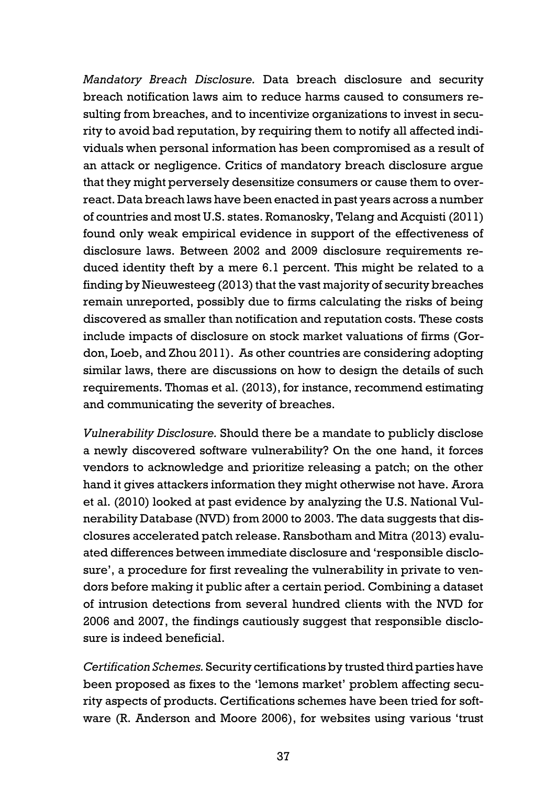*Mandatory Breach Disclosure.* Data breach disclosure and security breach notification laws aim to reduce harms caused to consumers resulting from breaches, and to incentivize organizations to invest in security to avoid bad reputation, by requiring them to notify all affected individuals when personal information has been compromised as a result of an attack or negligence. Critics of mandatory breach disclosure argue that they might perversely desensitize consumers or cause them to overreact. Data breach laws have been enacted in past years across a number of countries and most U.S. states. Romanosky, Telang and Acquisti (2011) found only weak empirical evidence in support of the effectiveness of disclosure laws. Between 2002 and 2009 disclosure requirements reduced identity theft by a mere 6.1 percent. This might be related to a finding by Nieuwesteeg  $(2013)$  that the vast majority of security breaches remain unreported, possibly due to firms calculating the risks of being discovered as smaller than notification and reputation costs. These costs include impacts of disclosure on stock market valuations of firms (Gordon, Loeb, and Zhou 2011). As other countries are considering adopting similar laws, there are discussions on how to design the details of such requirements. Thomas et al. (2013), for instance, recommend estimating and communicating the severity of breaches.

*Vulnerability Disclosure.* Should there be a mandate to publicly disclose a newly discovered software vulnerability? On the one hand, it forces vendors to acknowledge and prioritize releasing a patch; on the other hand it gives attackers information they might otherwise not have. Arora et al. (2010) looked at past evidence by analyzing the U.S. National Vulnerability Database (NVD) from 2000 to 2003. The data suggests that disclosures accelerated patch release. Ransbotham and Mitra (2013) evaluated differences between immediate disclosure and 'responsible disclosure', a procedure for first revealing the vulnerability in private to vendors before making it public after a certain period. Combining a dataset of intrusion detections from several hundred clients with the NVD for 2006 and 2007, the findings cautiously suggest that responsible disclosure is indeed beneficial.

*Certification Schemes.* Security certifications by trusted third parties have been proposed as fixes to the 'lemons market' problem affecting security aspects of products. Certifications schemes have been tried for software (R. Anderson and Moore 2006), for websites using various 'trust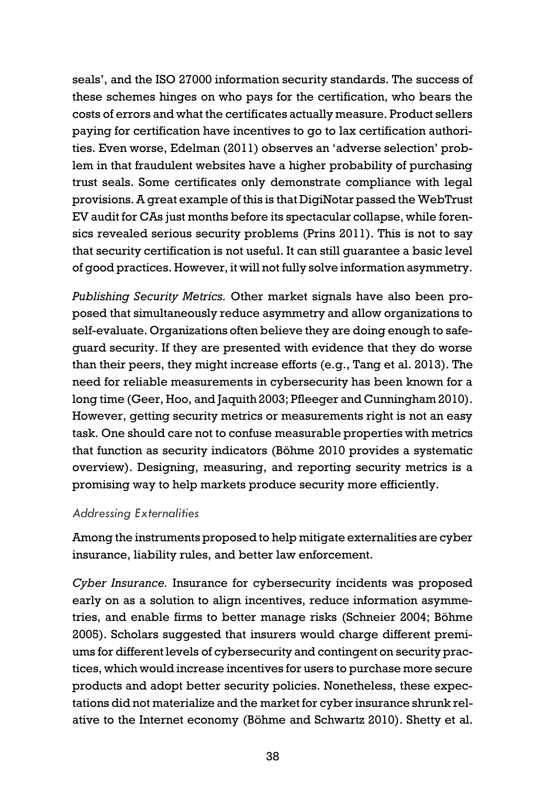seals', and the ISO 27000 information security standards. The success of these schemes hinges on who pays for the certification, who bears the costs of errors and what the certificates actually measure. Product sellers paying for certification have incentives to go to lax certification authorities. Even worse, Edelman (2011) observes an 'adverse selection' problem in that fraudulent websites have a higher probability of purchasing trust seals. Some certificates only demonstrate compliance with legal provisions. A great example of this is that DigiNotar passed the WebTrust EV audit for CAs just months before its spectacular collapse, while forensics revealed serious security problems (Prins 2011). This is not to say that security certification is not useful. It can still guarantee a basic level of good practices. However, it will not fully solve information asymmetry.

*Publishing Security Metrics.* Other market signals have also been proposed that simultaneously reduce asymmetry and allow organizations to self-evaluate. Organizations often believe they are doing enough to safeguard security. If they are presented with evidence that they do worse than their peers, they might increase efforts (e.g., Tang et al. 2013). The need for reliable measurements in cybersecurity has been known for a long time (Geer, Hoo, and Jaquith 2003; Pfleeger and Cunningham 2010). However, getting security metrics or measurements right is not an easy task. One should care not to confuse measurable properties with metrics that function as security indicators (Böhme 2010 provides a systematic overview). Designing, measuring, and reporting security metrics is a promising way to help markets produce security more efficiently.

#### *Addressing Externalities*

Among the instruments proposed to help mitigate externalities are cyber insurance, liability rules, and better law enforcement.

*Cyber Insurance.* Insurance for cybersecurity incidents was proposed early on as a solution to align incentives, reduce information asymmetries, and enable firms to better manage risks (Schneier 2004; Böhme 2005). Scholars suggested that insurers would charge different premiums for different levels of cybersecurity and contingent on security practices, which would increase incentives for users to purchase more secure products and adopt better security policies. Nonetheless, these expectations did not materialize and the market for cyber insurance shrunk relative to the Internet economy (Böhme and Schwartz 2010). Shetty et al.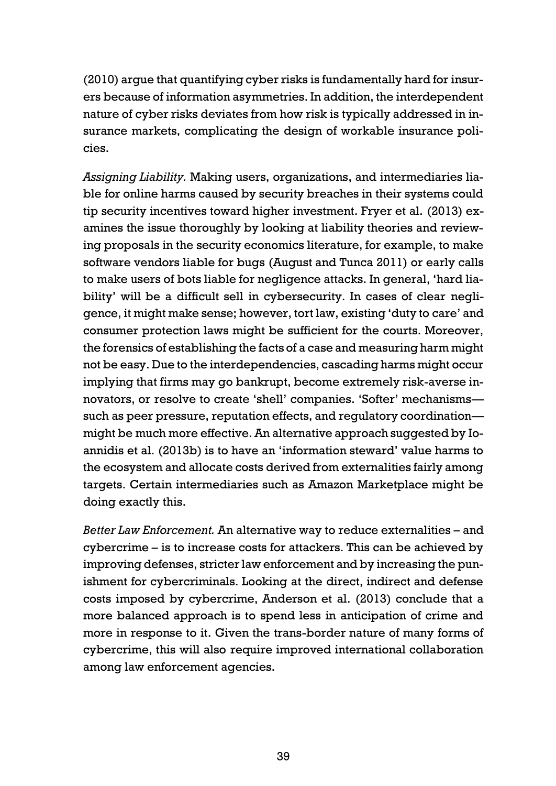(2010) argue that quantifying cyber risks is fundamentally hard for insurers because of information asymmetries. In addition, the interdependent nature of cyber risks deviates from how risk is typically addressed in insurance markets, complicating the design of workable insurance policies.

*Assigning Liability.* Making users, organizations, and intermediaries liable for online harms caused by security breaches in their systems could tip security incentives toward higher investment. Fryer et al. (2013) examines the issue thoroughly by looking at liability theories and reviewing proposals in the security economics literature, for example, to make software vendors liable for bugs (August and Tunca 2011) or early calls to make users of bots liable for negligence attacks. In general, 'hard liability' will be a difficult sell in cybersecurity. In cases of clear negligence, it might make sense; however, tort law, existing 'duty to care' and consumer protection laws might be sufficient for the courts. Moreover, the forensics of establishing the facts of a case and measuring harm might not be easy. Due to the interdependencies, cascading harms might occur implying that firms may go bankrupt, become extremely risk-averse innovators, or resolve to create 'shell' companies. 'Softer' mechanisms such as peer pressure, reputation effects, and regulatory coordination might be much more effective. An alternative approach suggested by Ioannidis et al. (2013b) is to have an 'information steward' value harms to the ecosystem and allocate costs derived from externalities fairly among targets. Certain intermediaries such as Amazon Marketplace might be doing exactly this.

*Better Law Enforcement.* An alternative way to reduce externalities – and cybercrime – is to increase costs for attackers. This can be achieved by improving defenses, stricter law enforcement and by increasing the punishment for cybercriminals. Looking at the direct, indirect and defense costs imposed by cybercrime, Anderson et al. (2013) conclude that a more balanced approach is to spend less in anticipation of crime and more in response to it. Given the trans-border nature of many forms of cybercrime, this will also require improved international collaboration among law enforcement agencies.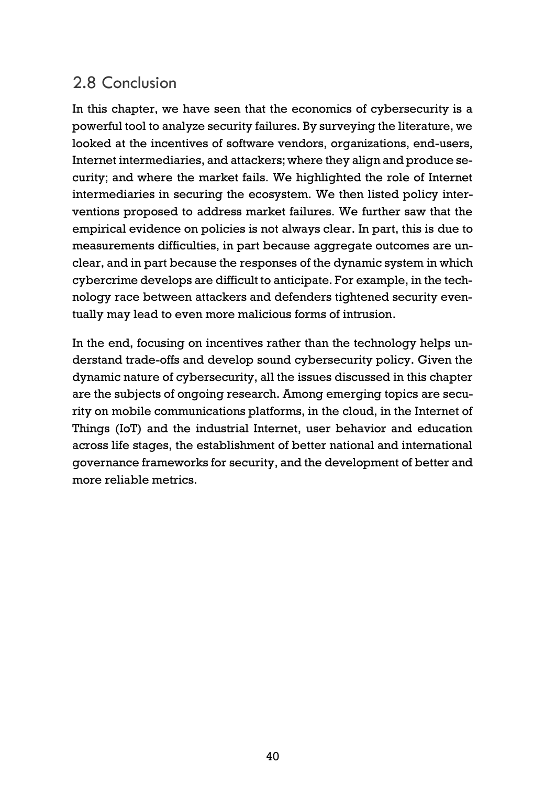## <span id="page-29-0"></span>2.8 Conclusion

In this chapter, we have seen that the economics of cybersecurity is a powerful tool to analyze security failures. By surveying the literature, we looked at the incentives of software vendors, organizations, end-users, Internet intermediaries, and attackers; where they align and produce security; and where the market fails. We highlighted the role of Internet intermediaries in securing the ecosystem. We then listed policy interventions proposed to address market failures. We further saw that the empirical evidence on policies is not always clear. In part, this is due to measurements difficulties, in part because aggregate outcomes are unclear, and in part because the responses of the dynamic system in which cybercrime develops are difficult to anticipate. For example, in the technology race between attackers and defenders tightened security eventually may lead to even more malicious forms of intrusion.

In the end, focusing on incentives rather than the technology helps understand trade-offs and develop sound cybersecurity policy. Given the dynamic nature of cybersecurity, all the issues discussed in this chapter are the subjects of ongoing research. Among emerging topics are security on mobile communications platforms, in the cloud, in the Internet of Things (IoT) and the industrial Internet, user behavior and education across life stages, the establishment of better national and international governance frameworks for security, and the development of better and more reliable metrics.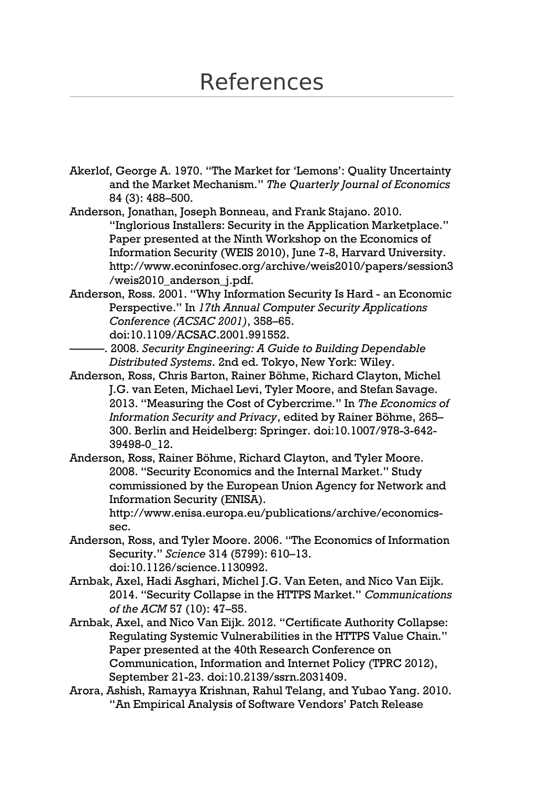# References

- Akerlof, George A. 1970. "The Market for 'Lemons': Quality Uncertainty and the Market Mechanism." *The Quarterly Journal of Economics* 84 (3): 488–500.
- Anderson, Jonathan, Joseph Bonneau, and Frank Stajano. 2010. "Inglorious Installers: Security in the Application Marketplace." Paper presented at the Ninth Workshop on the Economics of Information Security (WEIS 2010), June 7-8, Harvard University. http://www.econinfosec.org/archive/weis2010/papers/session3 /weis2010\_anderson\_j.pdf.
- Anderson, Ross. 2001. "Why Information Security Is Hard an Economic Perspective." In *17th Annual Computer Security Applications Conference (ACSAC 2001)*, 358–65.
	- doi:10.1109/ACSAC.2001.991552.
- ———. 2008. *Security Engineering: A Guide to Building Dependable Distributed Systems*. 2nd ed. Tokyo, New York: Wiley.
- Anderson, Ross, Chris Barton, Rainer Böhme, Richard Clayton, Michel J.G. van Eeten, Michael Levi, Tyler Moore, and Stefan Savage. 2013. "Measuring the Cost of Cybercrime." In *The Economics of Information Security and Privacy*, edited by Rainer Böhme, 265– 300. Berlin and Heidelberg: Springer. doi:10.1007/978-3-642- 39498-0\_12.
- Anderson, Ross, Rainer Böhme, Richard Clayton, and Tyler Moore. 2008. "Security Economics and the Internal Market." Study commissioned by the European Union Agency for Network and Information Security (ENISA).

http://www.enisa.europa.eu/publications/archive/economicssec.

- Anderson, Ross, and Tyler Moore. 2006. "The Economics of Information Security." *Science* 314 (5799): 610–13. doi:10.1126/science.1130992.
- Arnbak, Axel, Hadi Asghari, Michel J.G. Van Eeten, and Nico Van Eijk. 2014. "Security Collapse in the HTTPS Market." *Communications of the ACM* 57 (10): 47–55.
- Arnbak, Axel, and Nico Van Eijk. 2012. "Certificate Authority Collapse: Regulating Systemic Vulnerabilities in the HTTPS Value Chain." Paper presented at the 40th Research Conference on Communication, Information and Internet Policy (TPRC 2012), September 21-23. doi:10.2139/ssrn.2031409.
- Arora, Ashish, Ramayya Krishnan, Rahul Telang, and Yubao Yang. 2010. "An Empirical Analysis of Software Vendors' Patch Release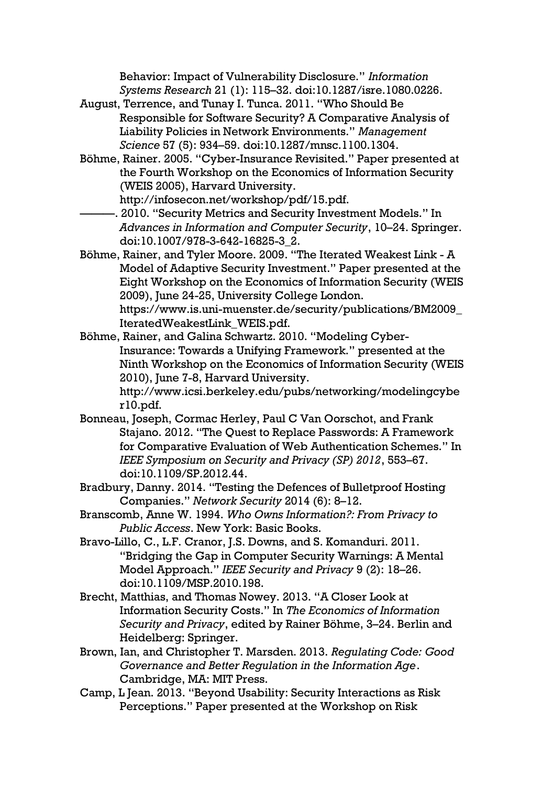Behavior: Impact of Vulnerability Disclosure." *Information Systems Research* 21 (1): 115–32. doi:10.1287/isre.1080.0226.

- August, Terrence, and Tunay I. Tunca. 2011. "Who Should Be Responsible for Software Security? A Comparative Analysis of Liability Policies in Network Environments." *Management Science* 57 (5): 934–59. doi:10.1287/mnsc.1100.1304.
- Böhme, Rainer. 2005. "Cyber-Insurance Revisited." Paper presented at the Fourth Workshop on the Economics of Information Security (WEIS 2005), Harvard University.

http://infosecon.net/workshop/pdf/15.pdf.

- ———. 2010. "Security Metrics and Security Investment Models." In *Advances in Information and Computer Security*, 10–24. Springer. doi:10.1007/978-3-642-16825-3\_2.
- Böhme, Rainer, and Tyler Moore. 2009. "The Iterated Weakest Link A Model of Adaptive Security Investment." Paper presented at the Eight Workshop on the Economics of Information Security (WEIS 2009), June 24-25, University College London. https://www.is.uni-muenster.de/security/publications/BM2009\_

IteratedWeakestLink\_WEIS.pdf.

Böhme, Rainer, and Galina Schwartz. 2010. "Modeling Cyber-Insurance: Towards a Unifying Framework." presented at the Ninth Workshop on the Economics of Information Security (WEIS 2010), June 7-8, Harvard University. http://www.icsi.berkeley.edu/pubs/networking/modelingcybe

r10.pdf.

- Bonneau, Joseph, Cormac Herley, Paul C Van Oorschot, and Frank Stajano. 2012. "The Quest to Replace Passwords: A Framework for Comparative Evaluation of Web Authentication Schemes." In *IEEE Symposium on Security and Privacy (SP) 2012*, 553–67. doi:10.1109/SP.2012.44.
- Bradbury, Danny. 2014. "Testing the Defences of Bulletproof Hosting Companies." *Network Security* 2014 (6): 8–12.
- Branscomb, Anne W. 1994. *Who Owns Information?: From Privacy to Public Access*. New York: Basic Books.
- Bravo-Lillo, C., L.F. Cranor, J.S. Downs, and S. Komanduri. 2011. "Bridging the Gap in Computer Security Warnings: A Mental Model Approach." *IEEE Security and Privacy* 9 (2): 18–26. doi:10.1109/MSP.2010.198.
- Brecht, Matthias, and Thomas Nowey. 2013. "A Closer Look at Information Security Costs." In *The Economics of Information Security and Privacy*, edited by Rainer Böhme, 3–24. Berlin and Heidelberg: Springer.
- Brown, Ian, and Christopher T. Marsden. 2013. *Regulating Code: Good Governance and Better Regulation in the Information Age*. Cambridge, MA: MIT Press.
- Camp, L Jean. 2013. "Beyond Usability: Security Interactions as Risk Perceptions." Paper presented at the Workshop on Risk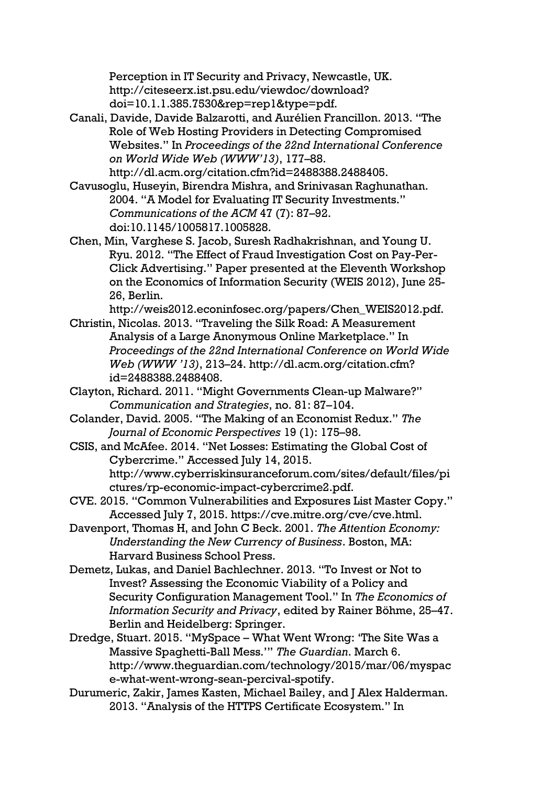Perception in IT Security and Privacy, Newcastle, UK. http://citeseerx.ist.psu.edu/viewdoc/download? doi=10.1.1.385.7530&rep=rep1&type=pdf.

- Canali, Davide, Davide Balzarotti, and Aurélien Francillon. 2013. "The Role of Web Hosting Providers in Detecting Compromised Websites." In *Proceedings of the 22nd International Conference on World Wide Web (WWW'13)*, 177–88. http://dl.acm.org/citation.cfm?id=2488388.2488405.
- Cavusoglu, Huseyin, Birendra Mishra, and Srinivasan Raghunathan. 2004. "A Model for Evaluating IT Security Investments." *Communications of the ACM* 47 (7): 87–92. doi:10.1145/1005817.1005828.
- Chen, Min, Varghese S. Jacob, Suresh Radhakrishnan, and Young U. Ryu. 2012. "The Effect of Fraud Investigation Cost on Pay-Per-Click Advertising." Paper presented at the Eleventh Workshop on the Economics of Information Security (WEIS 2012), June 25- 26, Berlin.

http://weis2012.econinfosec.org/papers/Chen\_WEIS2012.pdf.

- Christin, Nicolas. 2013. "Traveling the Silk Road: A Measurement Analysis of a Large Anonymous Online Marketplace." In *Proceedings of the 22nd International Conference on World Wide Web (WWW '13)*, 213–24. http://dl.acm.org/citation.cfm? id=2488388.2488408.
- Clayton, Richard. 2011. "Might Governments Clean-up Malware?" *Communication and Strategies*, no. 81: 87–104.
- Colander, David. 2005. "The Making of an Economist Redux." *The Journal of Economic Perspectives* 19 (1): 175–98.
- CSIS, and McAfee. 2014. "Net Losses: Estimating the Global Cost of Cybercrime." Accessed July 14, 2015. http://www.cyberriskinsuranceforum.com/sites/default/files/pi ctures/rp-economic-impact-cybercrime2.pdf.
- CVE. 2015. "Common Vulnerabilities and Exposures List Master Copy." Accessed July 7, 2015. https://cve.mitre.org/cve/cve.html.
- Davenport, Thomas H, and John C Beck. 2001. *The Attention Economy: Understanding the New Currency of Business*. Boston, MA: Harvard Business School Press.
- Demetz, Lukas, and Daniel Bachlechner. 2013. "To Invest or Not to Invest? Assessing the Economic Viability of a Policy and Security Configuration Management Tool." In *The Economics of Information Security and Privacy*, edited by Rainer Böhme, 25–47. Berlin and Heidelberg: Springer.
- Dredge, Stuart. 2015. "MySpace What Went Wrong: 'The Site Was a Massive Spaghetti-Ball Mess.'" *The Guardian*. March 6. http://www.theguardian.com/technology/2015/mar/06/myspac e-what-went-wrong-sean-percival-spotify.
- Durumeric, Zakir, James Kasten, Michael Bailey, and J Alex Halderman. 2013. "Analysis of the HTTPS Certificate Ecosystem." In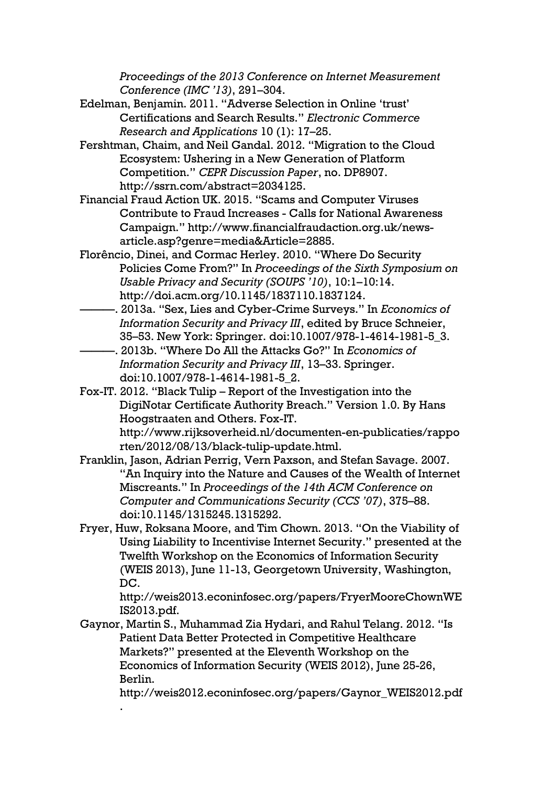*Proceedings of the 2013 Conference on Internet Measurement Conference (IMC '13)*, 291–304.

- Edelman, Benjamin. 2011. "Adverse Selection in Online 'trust' Certifications and Search Results." *Electronic Commerce Research and Applications* 10 (1): 17–25.
- Fershtman, Chaim, and Neil Gandal. 2012. "Migration to the Cloud Ecosystem: Ushering in a New Generation of Platform Competition." *CEPR Discussion Paper*, no. DP8907. http://ssrn.com/abstract=2034125.
- Financial Fraud Action UK. 2015. "Scams and Computer Viruses Contribute to Fraud Increases - Calls for National Awareness Campaign." http://www.financialfraudaction.org.uk/newsarticle.asp?genre=media&Article=2885.
- Florêncio, Dinei, and Cormac Herley. 2010. "Where Do Security Policies Come From?" In *Proceedings of the Sixth Symposium on Usable Privacy and Security (SOUPS '10)*, 10:1–10:14. http://doi.acm.org/10.1145/1837110.1837124.
- ———. 2013a. "Sex, Lies and Cyber-Crime Surveys." In *Economics of Information Security and Privacy III*, edited by Bruce Schneier, 35–53. New York: Springer. doi:10.1007/978-1-4614-1981-5\_3.
- ———. 2013b. "Where Do All the Attacks Go?" In *Economics of Information Security and Privacy III*, 13–33. Springer. doi:10.1007/978-1-4614-1981-5\_2.
- Fox-IT. 2012. "Black Tulip Report of the Investigation into the DigiNotar Certificate Authority Breach." Version 1.0. By Hans Hoogstraaten and Others. Fox-IT. http://www.rijksoverheid.nl/documenten-en-publicaties/rappo rten/2012/08/13/black-tulip-update.html.
- Franklin, Jason, Adrian Perrig, Vern Paxson, and Stefan Savage. 2007. "An Inquiry into the Nature and Causes of the Wealth of Internet Miscreants." In *Proceedings of the 14th ACM Conference on Computer and Communications Security (CCS '07)*, 375–88. doi:10.1145/1315245.1315292.
- Fryer, Huw, Roksana Moore, and Tim Chown. 2013. "On the Viability of Using Liability to Incentivise Internet Security." presented at the Twelfth Workshop on the Economics of Information Security (WEIS 2013), June 11-13, Georgetown University, Washington, DC.

http://weis2013.econinfosec.org/papers/FryerMooreChownWE IS2013.pdf.

Gaynor, Martin S., Muhammad Zia Hydari, and Rahul Telang. 2012. "Is Patient Data Better Protected in Competitive Healthcare Markets?" presented at the Eleventh Workshop on the Economics of Information Security (WEIS 2012), June 25-26, Berlin.

.

http://weis2012.econinfosec.org/papers/Gaynor\_WEIS2012.pdf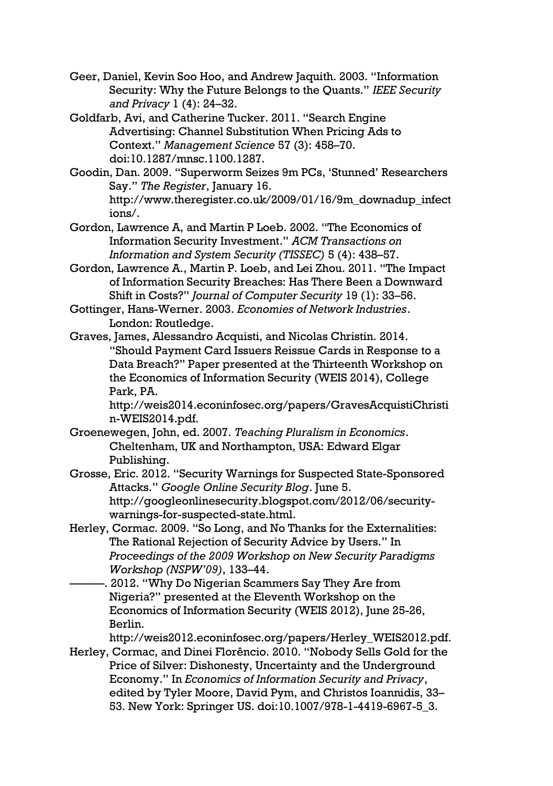- Geer, Daniel, Kevin Soo Hoo, and Andrew Jaquith. 2003. "Information Security: Why the Future Belongs to the Quants." *IEEE Security and Privacy* 1 (4): 24–32.
- Goldfarb, Avi, and Catherine Tucker. 2011. "Search Engine Advertising: Channel Substitution When Pricing Ads to Context." *Management Science* 57 (3): 458–70. doi:10.1287/mnsc.1100.1287.
- Goodin, Dan. 2009. "Superworm Seizes 9m PCs, 'Stunned' Researchers Say." *The Register*, January 16. http://www.theregister.co.uk/2009/01/16/9m\_downadup\_infect
- ions/. Gordon, Lawrence A, and Martin P Loeb. 2002. "The Economics of Information Security Investment." *ACM Transactions on Information and System Security (TISSEC)* 5 (4): 438–57.
- Gordon, Lawrence A., Martin P. Loeb, and Lei Zhou. 2011. "The Impact of Information Security Breaches: Has There Been a Downward Shift in Costs?" *Journal of Computer Security* 19 (1): 33–56.
- Gottinger, Hans-Werner. 2003. *Economies of Network Industries*. London: Routledge.

Graves, James, Alessandro Acquisti, and Nicolas Christin. 2014. "Should Payment Card Issuers Reissue Cards in Response to a Data Breach?" Paper presented at the Thirteenth Workshop on the Economics of Information Security (WEIS 2014), College Park, PA.

http://weis2014.econinfosec.org/papers/GravesAcquistiChristi n-WEIS2014.pdf.

- Groenewegen, John, ed. 2007. *Teaching Pluralism in Economics*. Cheltenham, UK and Northampton, USA: Edward Elgar Publishing.
- Grosse, Eric. 2012. "Security Warnings for Suspected State-Sponsored Attacks." *Google Online Security Blog*. June 5. http://googleonlinesecurity.blogspot.com/2012/06/securitywarnings-for-suspected-state.html.
- Herley, Cormac. 2009. "So Long, and No Thanks for the Externalities: The Rational Rejection of Security Advice by Users." In *Proceedings of the 2009 Workshop on New Security Paradigms Workshop (NSPW'09)*, 133–44.
- ———. 2012. "Why Do Nigerian Scammers Say They Are from Nigeria?" presented at the Eleventh Workshop on the Economics of Information Security (WEIS 2012), June 25-26, Berlin.

http://weis2012.econinfosec.org/papers/Herley\_WEIS2012.pdf. Herley, Cormac, and Dinei Florêncio. 2010. "Nobody Sells Gold for the

Price of Silver: Dishonesty, Uncertainty and the Underground Economy." In *Economics of Information Security and Privacy*, edited by Tyler Moore, David Pym, and Christos Ioannidis, 33– 53. New York: Springer US. doi:10.1007/978-1-4419-6967-5\_3.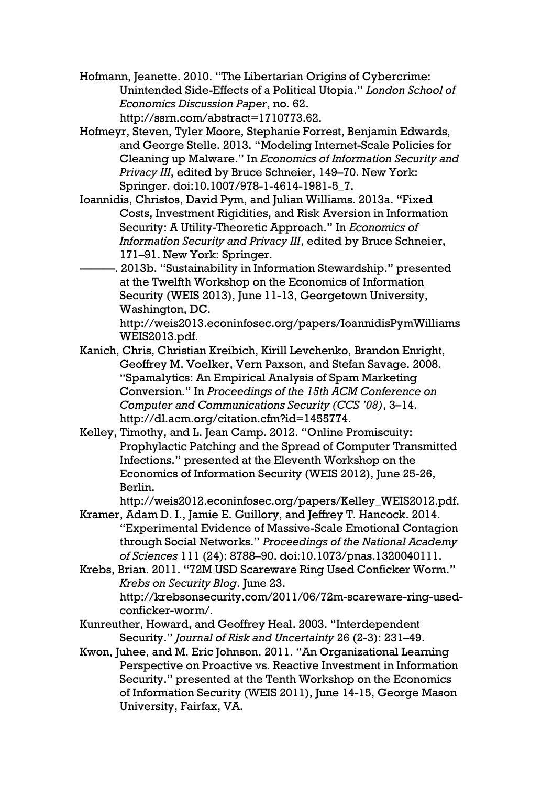- Hofmann, Jeanette. 2010. "The Libertarian Origins of Cybercrime: Unintended Side-Effects of a Political Utopia." *London School of Economics Discussion Paper*, no. 62. http://ssrn.com/abstract=1710773.62.
- Hofmeyr, Steven, Tyler Moore, Stephanie Forrest, Benjamin Edwards, and George Stelle. 2013. "Modeling Internet-Scale Policies for Cleaning up Malware." In *Economics of Information Security and Privacy III*, edited by Bruce Schneier, 149–70. New York: Springer. doi:10.1007/978-1-4614-1981-5\_7.
- Ioannidis, Christos, David Pym, and Julian Williams. 2013a. "Fixed Costs, Investment Rigidities, and Risk Aversion in Information Security: A Utility-Theoretic Approach." In *Economics of Information Security and Privacy III*, edited by Bruce Schneier, 171–91. New York: Springer.
- ———. 2013b. "Sustainability in Information Stewardship." presented at the Twelfth Workshop on the Economics of Information Security (WEIS 2013), June 11-13, Georgetown University, Washington, DC.

http://weis2013.econinfosec.org/papers/IoannidisPymWilliams WEIS2013.pdf.

- Kanich, Chris, Christian Kreibich, Kirill Levchenko, Brandon Enright, Geoffrey M. Voelker, Vern Paxson, and Stefan Savage. 2008. "Spamalytics: An Empirical Analysis of Spam Marketing Conversion." In *Proceedings of the 15th ACM Conference on Computer and Communications Security (CCS '08)*, 3–14. http://dl.acm.org/citation.cfm?id=1455774.
- Kelley, Timothy, and L. Jean Camp. 2012. "Online Promiscuity: Prophylactic Patching and the Spread of Computer Transmitted Infections." presented at the Eleventh Workshop on the Economics of Information Security (WEIS 2012), June 25-26, Berlin.

http://weis2012.econinfosec.org/papers/Kelley\_WEIS2012.pdf.

- Kramer, Adam D. I., Jamie E. Guillory, and Jeffrey T. Hancock. 2014. "Experimental Evidence of Massive-Scale Emotional Contagion through Social Networks." *Proceedings of the National Academy of Sciences* 111 (24): 8788–90. doi:10.1073/pnas.1320040111.
- Krebs, Brian. 2011. "72M USD Scareware Ring Used Conficker Worm." *Krebs on Security Blog*. June 23. http://krebsonsecurity.com/2011/06/72m-scareware-ring-usedconficker-worm/.
- Kunreuther, Howard, and Geoffrey Heal. 2003. "Interdependent Security." *Journal of Risk and Uncertainty* 26 (2-3): 231–49.
- Kwon, Juhee, and M. Eric Johnson. 2011. "An Organizational Learning Perspective on Proactive vs. Reactive Investment in Information Security." presented at the Tenth Workshop on the Economics of Information Security (WEIS 2011), June 14-15, George Mason University, Fairfax, VA.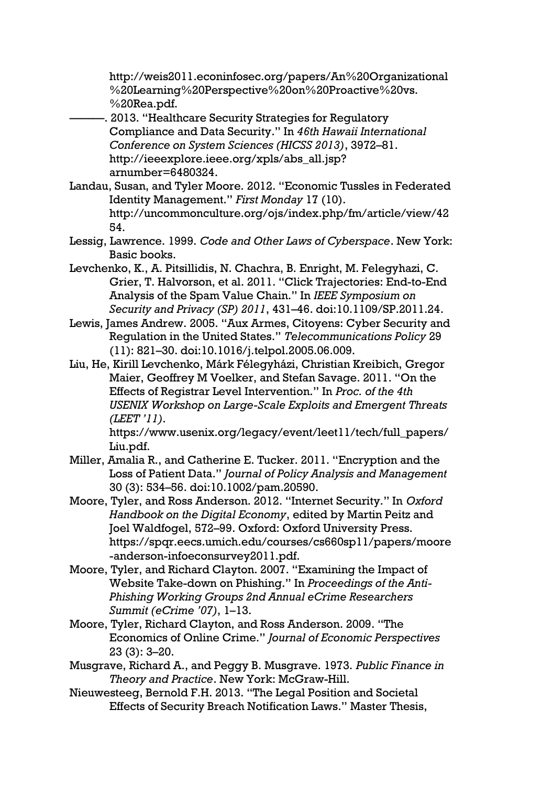http://weis2011.econinfosec.org/papers/An%20Organizational %20Learning%20Perspective%20on%20Proactive%20vs. %20Rea.pdf.

- ———. 2013. "Healthcare Security Strategies for Regulatory Compliance and Data Security." In *46th Hawaii International Conference on System Sciences (HICSS 2013)*, 3972–81. http://ieeexplore.ieee.org/xpls/abs\_all.jsp? arnumber=6480324.
- Landau, Susan, and Tyler Moore. 2012. "Economic Tussles in Federated Identity Management." *First Monday* 17 (10). http://uncommonculture.org/ojs/index.php/fm/article/view/42 54.
- Lessig, Lawrence. 1999. *Code and Other Laws of Cyberspace*. New York: Basic books.
- Levchenko, K., A. Pitsillidis, N. Chachra, B. Enright, M. Felegyhazi, C. Grier, T. Halvorson, et al. 2011. "Click Trajectories: End-to-End Analysis of the Spam Value Chain." In *IEEE Symposium on Security and Privacy (SP) 2011*, 431–46. doi:10.1109/SP.2011.24.
- Lewis, James Andrew. 2005. "Aux Armes, Citoyens: Cyber Security and Regulation in the United States." *Telecommunications Policy* 29 (11): 821–30. doi:10.1016/j.telpol.2005.06.009.
- Liu, He, Kirill Levchenko, Márk Félegyházi, Christian Kreibich, Gregor Maier, Geoffrey M Voelker, and Stefan Savage. 2011. "On the Effects of Registrar Level Intervention." In *Proc. of the 4th USENIX Workshop on Large-Scale Exploits and Emergent Threats (LEET '11)*.

https://www.usenix.org/legacy/event/leet11/tech/full\_papers/ Liu.pdf.

- Miller, Amalia R., and Catherine E. Tucker. 2011. "Encryption and the Loss of Patient Data." *Journal of Policy Analysis and Management* 30 (3): 534–56. doi:10.1002/pam.20590.
- Moore, Tyler, and Ross Anderson. 2012. "Internet Security." In *Oxford Handbook on the Digital Economy*, edited by Martin Peitz and Joel Waldfogel, 572–99. Oxford: Oxford University Press. https://spqr.eecs.umich.edu/courses/cs660sp11/papers/moore -anderson-infoeconsurvey2011.pdf.
- Moore, Tyler, and Richard Clayton. 2007. "Examining the Impact of Website Take-down on Phishing." In *Proceedings of the Anti-Phishing Working Groups 2nd Annual eCrime Researchers Summit (eCrime '07)*, 1–13.
- Moore, Tyler, Richard Clayton, and Ross Anderson. 2009. "The Economics of Online Crime." *Journal of Economic Perspectives* 23 (3): 3–20.
- Musgrave, Richard A., and Peggy B. Musgrave. 1973. *Public Finance in Theory and Practice*. New York: McGraw-Hill.
- Nieuwesteeg, Bernold F.H. 2013. "The Legal Position and Societal Effects of Security Breach Notification Laws." Master Thesis,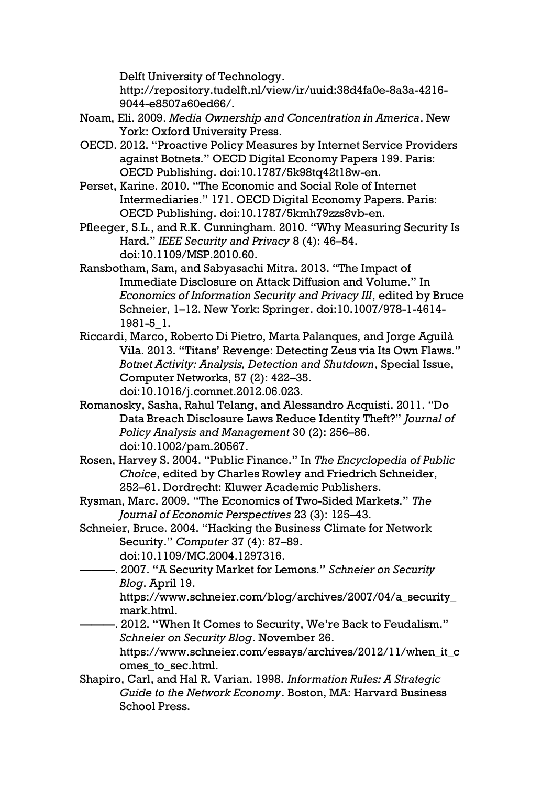Delft University of Technology.

http://repository.tudelft.nl/view/ir/uuid:38d4fa0e-8a3a-4216- 9044-e8507a60ed66/.

- Noam, Eli. 2009. *Media Ownership and Concentration in America*. New York: Oxford University Press.
- OECD. 2012. "Proactive Policy Measures by Internet Service Providers against Botnets." OECD Digital Economy Papers 199. Paris: OECD Publishing. doi:10.1787/5k98tq42t18w-en.
- Perset, Karine. 2010. "The Economic and Social Role of Internet Intermediaries." 171. OECD Digital Economy Papers. Paris: OECD Publishing. doi:10.1787/5kmh79zzs8vb-en.
- Pfleeger, S.L., and R.K. Cunningham. 2010. "Why Measuring Security Is Hard." *IEEE Security and Privacy* 8 (4): 46–54. doi:10.1109/MSP.2010.60.
- Ransbotham, Sam, and Sabyasachi Mitra. 2013. "The Impact of Immediate Disclosure on Attack Diffusion and Volume." In *Economics of Information Security and Privacy III*, edited by Bruce Schneier, 1–12. New York: Springer. doi:10.1007/978-1-4614- 1981-5\_1.
- Riccardi, Marco, Roberto Di Pietro, Marta Palanques, and Jorge Aguilà Vila. 2013. "Titans' Revenge: Detecting Zeus via Its Own Flaws." *Botnet Activity: Analysis, Detection and Shutdown*, Special Issue, Computer Networks, 57 (2): 422–35. doi:10.1016/j.comnet.2012.06.023.
- Romanosky, Sasha, Rahul Telang, and Alessandro Acquisti. 2011. "Do Data Breach Disclosure Laws Reduce Identity Theft?" *Journal of Policy Analysis and Management* 30 (2): 256–86. doi:10.1002/pam.20567.
- Rosen, Harvey S. 2004. "Public Finance." In *The Encyclopedia of Public Choice*, edited by Charles Rowley and Friedrich Schneider, 252–61. Dordrecht: Kluwer Academic Publishers.
- Rysman, Marc. 2009. "The Economics of Two-Sided Markets." *The Journal of Economic Perspectives* 23 (3): 125–43.
- Schneier, Bruce. 2004. "Hacking the Business Climate for Network Security." *Computer* 37 (4): 87–89. doi:10.1109/MC.2004.1297316.
	- ———. 2007. "A Security Market for Lemons." *Schneier on Security Blog*. April 19.

https://www.schneier.com/blog/archives/2007/04/a\_security\_ mark.html.

- ———. 2012. "When It Comes to Security, We're Back to Feudalism." *Schneier on Security Blog*. November 26. https://www.schneier.com/essays/archives/2012/11/when\_it\_c omes\_to\_sec.html.
- Shapiro, Carl, and Hal R. Varian. 1998. *Information Rules: A Strategic Guide to the Network Economy*. Boston, MA: Harvard Business School Press.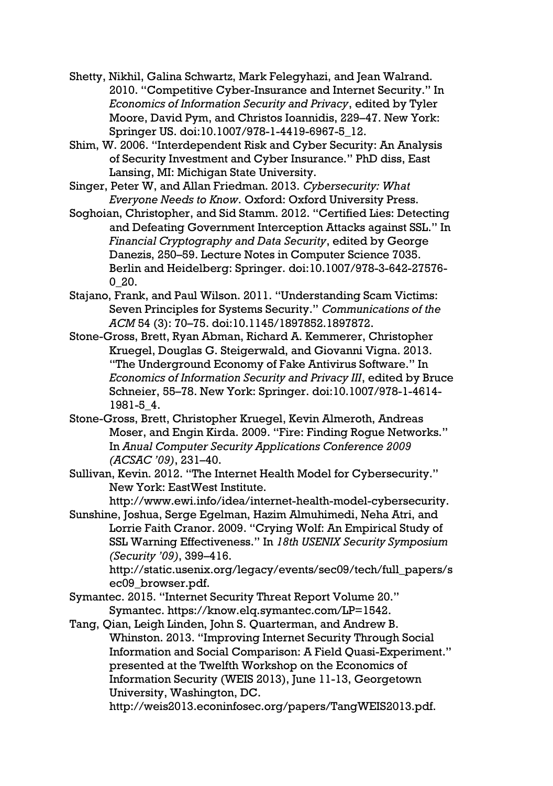- Shetty, Nikhil, Galina Schwartz, Mark Felegyhazi, and Jean Walrand. 2010. "Competitive Cyber-Insurance and Internet Security." In *Economics of Information Security and Privacy*, edited by Tyler Moore, David Pym, and Christos Ioannidis, 229–47. New York: Springer US. doi:10.1007/978-1-4419-6967-5\_12.
- Shim, W. 2006. "Interdependent Risk and Cyber Security: An Analysis of Security Investment and Cyber Insurance." PhD diss, East Lansing, MI: Michigan State University.
- Singer, Peter W, and Allan Friedman. 2013. *Cybersecurity: What Everyone Needs to Know*. Oxford: Oxford University Press.
- Soghoian, Christopher, and Sid Stamm. 2012. "Certified Lies: Detecting and Defeating Government Interception Attacks against SSL." In *Financial Cryptography and Data Security*, edited by George Danezis, 250–59. Lecture Notes in Computer Science 7035. Berlin and Heidelberg: Springer. doi:10.1007/978-3-642-27576- 0\_20.
- Stajano, Frank, and Paul Wilson. 2011. "Understanding Scam Victims: Seven Principles for Systems Security." *Communications of the ACM* 54 (3): 70–75. doi:10.1145/1897852.1897872.
- Stone-Gross, Brett, Ryan Abman, Richard A. Kemmerer, Christopher Kruegel, Douglas G. Steigerwald, and Giovanni Vigna. 2013. "The Underground Economy of Fake Antivirus Software." In *Economics of Information Security and Privacy III*, edited by Bruce Schneier, 55–78. New York: Springer. doi:10.1007/978-1-4614- 1981-5\_4.
- Stone-Gross, Brett, Christopher Kruegel, Kevin Almeroth, Andreas Moser, and Engin Kirda. 2009. "Fire: Finding Rogue Networks." In *Anual Computer Security Applications Conference 2009 (ACSAC '09)*, 231–40.
- Sullivan, Kevin. 2012. "The Internet Health Model for Cybersecurity." New York: EastWest Institute.

http://www.ewi.info/idea/internet-health-model-cybersecurity.

Sunshine, Joshua, Serge Egelman, Hazim Almuhimedi, Neha Atri, and Lorrie Faith Cranor. 2009. "Crying Wolf: An Empirical Study of SSL Warning Effectiveness." In *18th USENIX Security Symposium (Security '09)*, 399–416.

http://static.usenix.org/legacy/events/sec09/tech/full\_papers/s ec09\_browser.pdf.

- Symantec. 2015. "Internet Security Threat Report Volume 20." Symantec. https://know.elq.symantec.com/LP=1542.
- Tang, Qian, Leigh Linden, John S. Quarterman, and Andrew B. Whinston. 2013. "Improving Internet Security Through Social Information and Social Comparison: A Field Quasi-Experiment." presented at the Twelfth Workshop on the Economics of Information Security (WEIS 2013), June 11-13, Georgetown University, Washington, DC.

http://weis2013.econinfosec.org/papers/TangWEIS2013.pdf.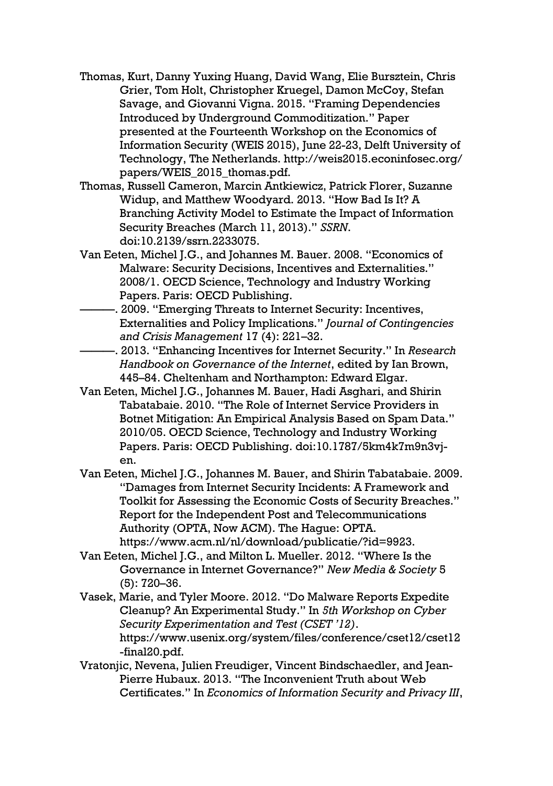- Thomas, Kurt, Danny Yuxing Huang, David Wang, Elie Bursztein, Chris Grier, Tom Holt, Christopher Kruegel, Damon McCoy, Stefan Savage, and Giovanni Vigna. 2015. "Framing Dependencies Introduced by Underground Commoditization." Paper presented at the Fourteenth Workshop on the Economics of Information Security (WEIS 2015), June 22-23, Delft University of Technology, The Netherlands. http://weis2015.econinfosec.org/ papers/WEIS\_2015\_thomas.pdf.
- Thomas, Russell Cameron, Marcin Antkiewicz, Patrick Florer, Suzanne Widup, and Matthew Woodyard. 2013. "How Bad Is It? A Branching Activity Model to Estimate the Impact of Information Security Breaches (March 11, 2013)." *SSRN*. doi:10.2139/ssrn.2233075.
- Van Eeten, Michel J.G., and Johannes M. Bauer. 2008. "Economics of Malware: Security Decisions, Incentives and Externalities." 2008/1. OECD Science, Technology and Industry Working Papers. Paris: OECD Publishing.
	- ———. 2009. "Emerging Threats to Internet Security: Incentives, Externalities and Policy Implications." *Journal of Contingencies and Crisis Management* 17 (4): 221–32.
- ———. 2013. "Enhancing Incentives for Internet Security." In *Research Handbook on Governance of the Internet*, edited by Ian Brown, 445–84. Cheltenham and Northampton: Edward Elgar.
- Van Eeten, Michel J.G., Johannes M. Bauer, Hadi Asghari, and Shirin Tabatabaie. 2010. "The Role of Internet Service Providers in Botnet Mitigation: An Empirical Analysis Based on Spam Data." 2010/05. OECD Science, Technology and Industry Working Papers. Paris: OECD Publishing. doi:10.1787/5km4k7m9n3vjen.
- Van Eeten, Michel J.G., Johannes M. Bauer, and Shirin Tabatabaie. 2009. "Damages from Internet Security Incidents: A Framework and Toolkit for Assessing the Economic Costs of Security Breaches." Report for the Independent Post and Telecommunications Authority (OPTA, Now ACM). The Hague: OPTA. https://www.acm.nl/nl/download/publicatie/?id=9923.
- Van Eeten, Michel J.G., and Milton L. Mueller. 2012. "Where Is the Governance in Internet Governance?" *New Media & Society* 5 (5): 720–36.
- Vasek, Marie, and Tyler Moore. 2012. "Do Malware Reports Expedite Cleanup? An Experimental Study." In *5th Workshop on Cyber Security Experimentation and Test (CSET '12)*. https://www.usenix.org/system/files/conference/cset12/cset12 -final20.pdf.
- Vratonjic, Nevena, Julien Freudiger, Vincent Bindschaedler, and Jean-Pierre Hubaux. 2013. "The Inconvenient Truth about Web Certificates." In *Economics of Information Security and Privacy III*,